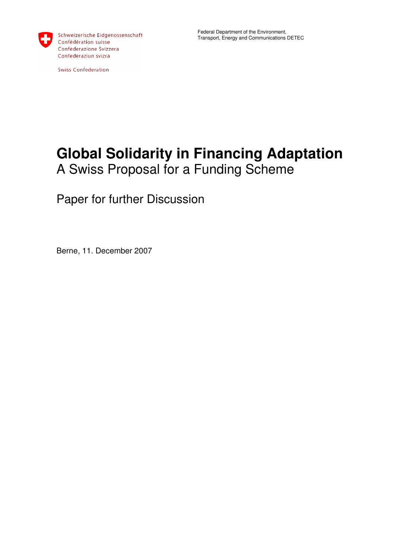

**Swiss Confederation** 

# **Global Solidarity in Financing Adaptation**  A Swiss Proposal for a Funding Scheme

Paper for further Discussion

Berne, 11. December 2007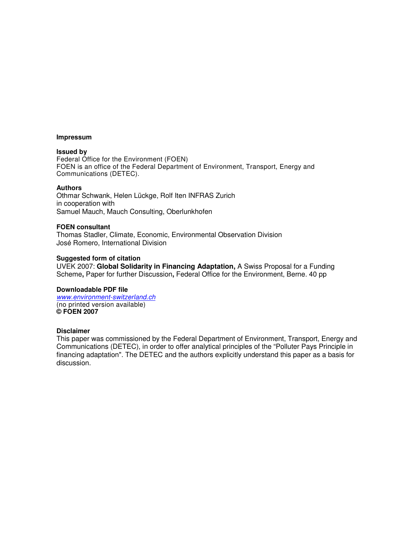#### **Impressum**

#### **Issued by**

Federal Office for the Environment (FOEN) FOEN is an office of the Federal Department of Environment, Transport, Energy and Communications (DETEC).

#### **Authors**

Othmar Schwank, Helen Lückge, Rolf Iten INFRAS Zurich in cooperation with Samuel Mauch, Mauch Consulting, Oberlunkhofen

#### **FOEN consultant**

Thomas Stadler, Climate, Economic, Environmental Observation Division José Romero, International Division

#### **Suggested form of citation**

UVEK 2007: **Global Solidarity in Financing Adaptation,** A Swiss Proposal for a Funding Scheme**,** Paper for further Discussion**,** Federal Office for the Environment, Berne. 40 pp

### **Downloadable PDF file**

www.environment-switzerland.ch (no printed version available) **© FOEN 2007** 

### **Disclaimer**

This paper was commissioned by the Federal Department of Environment, Transport, Energy and Communications (DETEC), in order to offer analytical principles of the "Polluter Pays Principle in financing adaptation". The DETEC and the authors explicitly understand this paper as a basis for discussion.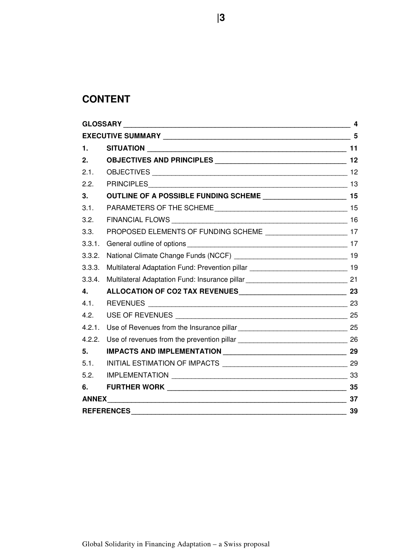# **CONTENT**

| 1.                |                                                                                     |    |  |  |  |  |  |
|-------------------|-------------------------------------------------------------------------------------|----|--|--|--|--|--|
| 2.                |                                                                                     |    |  |  |  |  |  |
| 2.1.              |                                                                                     |    |  |  |  |  |  |
| 2.2.              |                                                                                     |    |  |  |  |  |  |
| 3.                |                                                                                     |    |  |  |  |  |  |
| 3.1.              | PARAMETERS OF THE SCHEME                                                            |    |  |  |  |  |  |
| 3.2.              |                                                                                     |    |  |  |  |  |  |
| 3.3.              | PROPOSED ELEMENTS OF FUNDING SCHEME _________________________17                     |    |  |  |  |  |  |
| 3.3.1.            |                                                                                     |    |  |  |  |  |  |
| 3.3.2.            |                                                                                     |    |  |  |  |  |  |
| 3.3.3.            | Multilateral Adaptation Fund: Prevention pillar ________________________________ 19 |    |  |  |  |  |  |
| 3.3.4.            | Multilateral Adaptation Fund: Insurance pillar _________________________________ 21 |    |  |  |  |  |  |
| 4.                |                                                                                     |    |  |  |  |  |  |
| 4.1.              |                                                                                     |    |  |  |  |  |  |
| 4.2.              |                                                                                     |    |  |  |  |  |  |
| 4.2.1.            |                                                                                     |    |  |  |  |  |  |
| 4.2.2.            |                                                                                     |    |  |  |  |  |  |
| 5.                |                                                                                     |    |  |  |  |  |  |
| 5.1.              |                                                                                     |    |  |  |  |  |  |
| 5.2.              |                                                                                     |    |  |  |  |  |  |
| 6.                |                                                                                     |    |  |  |  |  |  |
|                   |                                                                                     | 37 |  |  |  |  |  |
| <b>REFERENCES</b> | 39                                                                                  |    |  |  |  |  |  |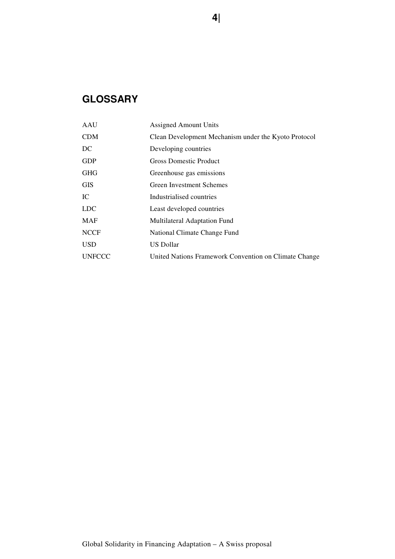# **GLOSSARY**

| AAU           | <b>Assigned Amount Units</b>                          |
|---------------|-------------------------------------------------------|
| <b>CDM</b>    | Clean Development Mechanism under the Kyoto Protocol  |
| DC            | Developing countries                                  |
| <b>GDP</b>    | <b>Gross Domestic Product</b>                         |
| <b>GHG</b>    | Greenhouse gas emissions                              |
| <b>GIS</b>    | Green Investment Schemes                              |
| IC            | Industrialised countries                              |
| <b>LDC</b>    | Least developed countries                             |
| <b>MAF</b>    | Multilateral Adaptation Fund                          |
| <b>NCCF</b>   | National Climate Change Fund                          |
| <b>USD</b>    | <b>US Dollar</b>                                      |
| <b>UNFCCC</b> | United Nations Framework Convention on Climate Change |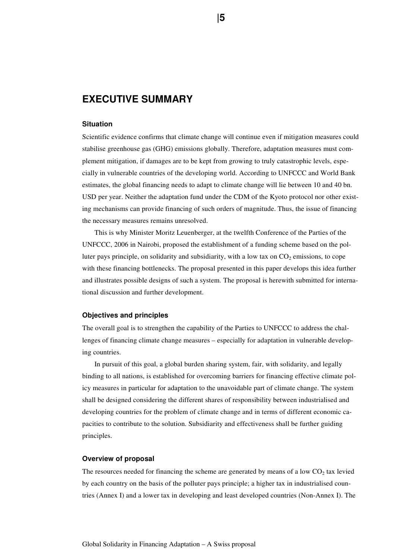# **EXECUTIVE SUMMARY**

### **Situation**

Scientific evidence confirms that climate change will continue even if mitigation measures could stabilise greenhouse gas (GHG) emissions globally. Therefore, adaptation measures must complement mitigation, if damages are to be kept from growing to truly catastrophic levels, especially in vulnerable countries of the developing world. According to UNFCCC and World Bank estimates, the global financing needs to adapt to climate change will lie between 10 and 40 bn. USD per year. Neither the adaptation fund under the CDM of the Kyoto protocol nor other existing mechanisms can provide financing of such orders of magnitude. Thus, the issue of financing the necessary measures remains unresolved.

This is why Minister Moritz Leuenberger, at the twelfth Conference of the Parties of the UNFCCC, 2006 in Nairobi, proposed the establishment of a funding scheme based on the polluter pays principle, on solidarity and subsidiarity, with a low tax on  $CO<sub>2</sub>$  emissions, to cope with these financing bottlenecks. The proposal presented in this paper develops this idea further and illustrates possible designs of such a system. The proposal is herewith submitted for international discussion and further development.

### **Objectives and principles**

The overall goal is to strengthen the capability of the Parties to UNFCCC to address the challenges of financing climate change measures – especially for adaptation in vulnerable developing countries.

In pursuit of this goal, a global burden sharing system, fair, with solidarity, and legally binding to all nations, is established for overcoming barriers for financing effective climate policy measures in particular for adaptation to the unavoidable part of climate change. The system shall be designed considering the different shares of responsibility between industrialised and developing countries for the problem of climate change and in terms of different economic capacities to contribute to the solution. Subsidiarity and effectiveness shall be further guiding principles.

#### **Overview of proposal**

The resources needed for financing the scheme are generated by means of a low  $CO<sub>2</sub>$  tax levied by each country on the basis of the polluter pays principle; a higher tax in industrialised countries (Annex I) and a lower tax in developing and least developed countries (Non-Annex I). The

**15 15 15**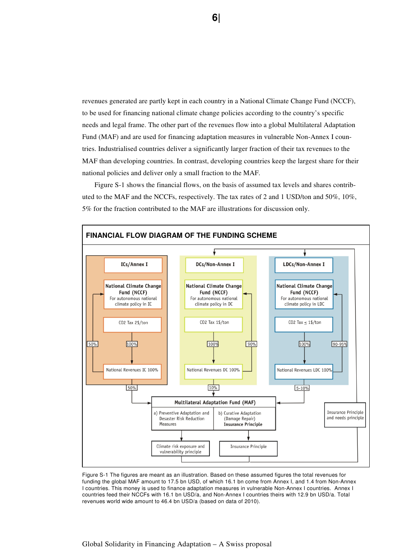revenues generated are partly kept in each country in a National Climate Change Fund (NCCF), to be used for financing national climate change policies according to the country's specific needs and legal frame. The other part of the revenues flow into a global Multilateral Adaptation Fund (MAF) and are used for financing adaptation measures in vulnerable Non-Annex I countries. Industrialised countries deliver a significantly larger fraction of their tax revenues to the MAF than developing countries. In contrast, developing countries keep the largest share for their national policies and deliver only a small fraction to the MAF.

Figure S-1 shows the financial flows, on the basis of assumed tax levels and shares contributed to the MAF and the NCCFs, respectively. The tax rates of 2 and 1 USD/ton and 50%, 10%, 5% for the fraction contributed to the MAF are illustrations for discussion only.



Figure S-1 The figures are meant as an illustration. Based on these assumed figures the total revenues for funding the global MAF amount to 17.5 bn USD, of which 16.1 bn come from Annex I, and 1.4 from Non-Annex I countries. This money is used to finance adaptation measures in vulnerable Non-Annex I countries. Annex I countries feed their NCCFs with 16.1 bn USD/a, and Non-Annex I countries theirs with 12.9 bn USD/a. Total revenues world wide amount to 46.4 bn USD/a (based on data of 2010).

### Global Solidarity in Financing Adaptation – A Swiss proposal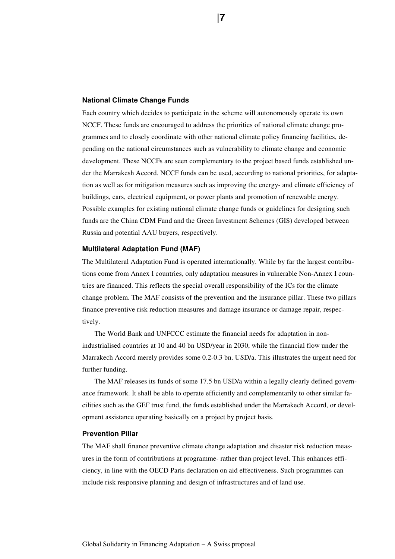#### **National Climate Change Funds**

Each country which decides to participate in the scheme will autonomously operate its own NCCF. These funds are encouraged to address the priorities of national climate change programmes and to closely coordinate with other national climate policy financing facilities, depending on the national circumstances such as vulnerability to climate change and economic development. These NCCFs are seen complementary to the project based funds established under the Marrakesh Accord. NCCF funds can be used, according to national priorities, for adaptation as well as for mitigation measures such as improving the energy- and climate efficiency of buildings, cars, electrical equipment, or power plants and promotion of renewable energy. Possible examples for existing national climate change funds or guidelines for designing such funds are the China CDM Fund and the Green Investment Schemes (GIS) developed between Russia and potential AAU buyers, respectively.

#### **Multilateral Adaptation Fund (MAF)**

The Multilateral Adaptation Fund is operated internationally. While by far the largest contributions come from Annex I countries, only adaptation measures in vulnerable Non-Annex I countries are financed. This reflects the special overall responsibility of the ICs for the climate change problem. The MAF consists of the prevention and the insurance pillar. These two pillars finance preventive risk reduction measures and damage insurance or damage repair, respectively.

The World Bank and UNFCCC estimate the financial needs for adaptation in nonindustrialised countries at 10 and 40 bn USD/year in 2030, while the financial flow under the Marrakech Accord merely provides some 0.2-0.3 bn. USD/a. This illustrates the urgent need for further funding.

The MAF releases its funds of some 17.5 bn USD/a within a legally clearly defined governance framework. It shall be able to operate efficiently and complementarily to other similar facilities such as the GEF trust fund, the funds established under the Marrakech Accord, or development assistance operating basically on a project by project basis.

#### **Prevention Pillar**

The MAF shall finance preventive climate change adaptation and disaster risk reduction measures in the form of contributions at programme- rather than project level. This enhances efficiency, in line with the OECD Paris declaration on aid effectiveness. Such programmes can include risk responsive planning and design of infrastructures and of land use.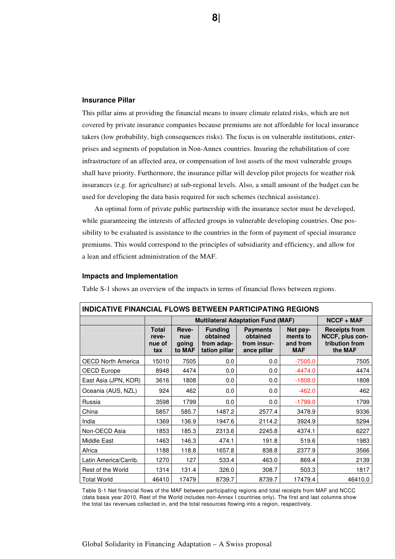#### **Insurance Pillar**

This pillar aims at providing the financial means to insure climate related risks, which are not covered by private insurance companies because premiums are not affordable for local insurance takers (low probability, high consequences risks). The focus is on vulnerable institutions, enterprises and segments of population in Non-Annex countries. Insuring the rehabilitation of core infrastructure of an affected area, or compensation of lost assets of the most vulnerable groups shall have priority. Furthermore, the insurance pillar will develop pilot projects for weather risk insurances (e.g. for agriculture) at sub-regional levels. Also, a small amount of the budget can be used for developing the data basis required for such schemes (technical assistance).

An optimal form of private public partnership with the insurance sector must be developed, while guaranteeing the interests of affected groups in vulnerable developing countries. One possibility to be evaluated is assistance to the countries in the form of payment of special insurance premiums. This would correspond to the principles of subsidiarity and efficiency, and allow for a lean and efficient administration of the MAF.

#### **Impacts and Implementation**

Table S-1 shows an overview of the impacts in terms of financial flows between regions.

| INDICATIVE FINANCIAE FECWS DETWEEN FARTIGIFATING REGIONS |                                        |                                 |                                                           |                                                           |                                                |                                                                      |  |  |  |  |
|----------------------------------------------------------|----------------------------------------|---------------------------------|-----------------------------------------------------------|-----------------------------------------------------------|------------------------------------------------|----------------------------------------------------------------------|--|--|--|--|
|                                                          |                                        |                                 | <b>Multilateral Adaptation Fund (MAF)</b>                 | $NCCF + MAF$                                              |                                                |                                                                      |  |  |  |  |
|                                                          | <b>Total</b><br>reve-<br>nue of<br>tax | Reve-<br>nue<br>going<br>to MAF | <b>Funding</b><br>obtained<br>from adap-<br>tation pillar | <b>Payments</b><br>obtained<br>from insur-<br>ance pillar | Net pay-<br>ments to<br>and from<br><b>MAF</b> | <b>Receipts from</b><br>NCCF, plus con-<br>tribution from<br>the MAF |  |  |  |  |
| <b>OECD North America</b>                                | 15010                                  | 7505                            | 0.0                                                       | 0.0                                                       | $-7505.0$                                      | 7505                                                                 |  |  |  |  |
| <b>OECD Europe</b>                                       | 8948                                   | 4474                            | 0.0                                                       | 0.0                                                       | $-4474.0$                                      | 4474                                                                 |  |  |  |  |
| East Asia (JPN, KOR)                                     | 3616                                   | 1808                            | 0.0                                                       | 0.0                                                       | $-1808.0$                                      | 1808                                                                 |  |  |  |  |
| Oceania (AUS, NZL)                                       | 924                                    | 462                             | 0.0                                                       | 0.0                                                       | $-462.0$                                       | 462                                                                  |  |  |  |  |
| Russia                                                   | 3598                                   | 1799                            | 0.0                                                       | 0.0                                                       | $-1799.0$                                      | 1799                                                                 |  |  |  |  |
| China                                                    | 5857                                   | 585.7                           | 1487.2                                                    | 2577.4                                                    | 3478.9                                         | 9336                                                                 |  |  |  |  |
| India                                                    | 1369                                   | 136.9                           | 1947.6                                                    | 2114.2                                                    | 3924.9                                         | 5294                                                                 |  |  |  |  |
| Non-OECD Asia                                            | 1853                                   | 185.3                           | 2313.6                                                    | 2245.8                                                    | 4374.1                                         | 6227                                                                 |  |  |  |  |
| Middle East                                              | 1463                                   | 146.3                           | 474.1                                                     | 191.8                                                     | 519.6                                          | 1983                                                                 |  |  |  |  |
| Africa                                                   | 1188                                   | 118.8                           | 1657.8                                                    | 838.8                                                     | 2377.9                                         | 3566                                                                 |  |  |  |  |
| Latin America/Carrib.                                    | 1270                                   | 127                             | 533.4                                                     | 463.0                                                     | 869.4                                          | 2139                                                                 |  |  |  |  |
| Rest of the World                                        | 1314                                   | 131.4                           | 326.0                                                     | 308.7                                                     | 503.3                                          | 1817                                                                 |  |  |  |  |
| <b>Total World</b>                                       | 46410                                  | 17479                           | 8739.7                                                    | 8739.7                                                    | 17479.4                                        | 46410.0                                                              |  |  |  |  |

**INDICATIVE FINANCIAL FLOWS BETWEEN PARTICIPATING REGIONS** 

Table S-1 Net financial flows of the MAF between participating regions and total receipts from MAF and NCCC (data basis year 2010, Rest of the World includes non-Annex I countries only). The first and last columns show the total tax revenues collected in, and the total resources flowing into a region, respectively.

 **8|**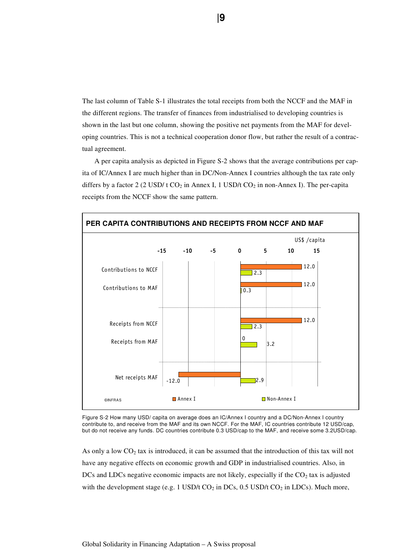The last column of Table S-1 illustrates the total receipts from both the NCCF and the MAF in the different regions. The transfer of finances from industrialised to developing countries is shown in the last but one column, showing the positive net payments from the MAF for developing countries. This is not a technical cooperation donor flow, but rather the result of a contractual agreement.

A per capita analysis as depicted in Figure S-2 shows that the average contributions per capita of IC/Annex I are much higher than in DC/Non-Annex I countries although the tax rate only differs by a factor 2 (2 USD/t  $CO_2$  in Annex I, 1 USD/t  $CO_2$  in non-Annex I). The per-capita receipts from the NCCF show the same pattern.



Figure S-2 How many USD/ capita on average does an IC/Annex I country and a DC/Non-Annex I country contribute to, and receive from the MAF and its own NCCF. For the MAF, IC countries contribute 12 USD/cap, but do not receive any funds. DC countries contribute 0.3 USD/cap to the MAF, and receive some 3.2USD/cap.

As only a low  $CO<sub>2</sub>$  tax is introduced, it can be assumed that the introduction of this tax will not have any negative effects on economic growth and GDP in industrialised countries. Also, in DCs and LDCs negative economic impacts are not likely, especially if the  $CO<sub>2</sub>$  tax is adjusted with the development stage (e.g. 1 USD/t  $CO_2$  in DCs, 0.5 USD/t  $CO_2$  in LDCs). Much more,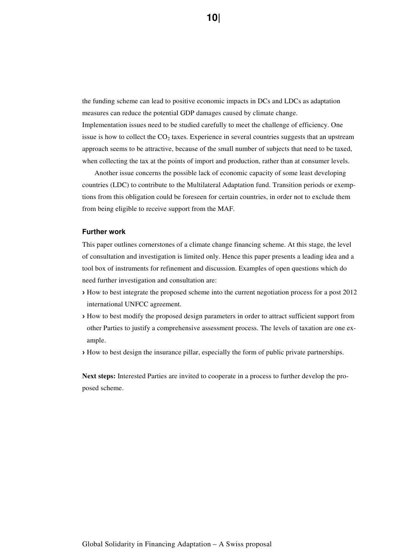the funding scheme can lead to positive economic impacts in DCs and LDCs as adaptation measures can reduce the potential GDP damages caused by climate change. Implementation issues need to be studied carefully to meet the challenge of efficiency. One issue is how to collect the  $CO<sub>2</sub>$  taxes. Experience in several countries suggests that an upstream approach seems to be attractive, because of the small number of subjects that need to be taxed, when collecting the tax at the points of import and production, rather than at consumer levels.

Another issue concerns the possible lack of economic capacity of some least developing countries (LDC) to contribute to the Multilateral Adaptation fund. Transition periods or exemptions from this obligation could be foreseen for certain countries, in order not to exclude them from being eligible to receive support from the MAF.

#### **Further work**

This paper outlines cornerstones of a climate change financing scheme. At this stage, the level of consultation and investigation is limited only. Hence this paper presents a leading idea and a tool box of instruments for refinement and discussion. Examples of open questions which do need further investigation and consultation are:

- › How to best integrate the proposed scheme into the current negotiation process for a post 2012 international UNFCC agreement.
- › How to best modify the proposed design parameters in order to attract sufficient support from other Parties to justify a comprehensive assessment process. The levels of taxation are one example.
- › How to best design the insurance pillar, especially the form of public private partnerships.

**Next steps:** Interested Parties are invited to cooperate in a process to further develop the proposed scheme.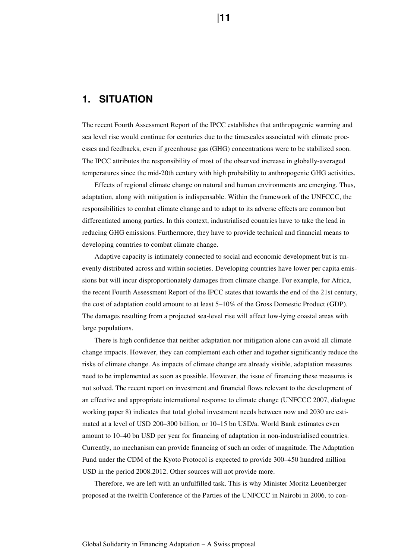# **1. SITUATION**

The recent Fourth Assessment Report of the IPCC establishes that anthropogenic warming and sea level rise would continue for centuries due to the timescales associated with climate processes and feedbacks, even if greenhouse gas (GHG) concentrations were to be stabilized soon. The IPCC attributes the responsibility of most of the observed increase in globally-averaged temperatures since the mid-20th century with high probability to anthropogenic GHG activities.

Effects of regional climate change on natural and human environments are emerging. Thus, adaptation, along with mitigation is indispensable. Within the framework of the UNFCCC, the responsibilities to combat climate change and to adapt to its adverse effects are common but differentiated among parties. In this context, industrialised countries have to take the lead in reducing GHG emissions. Furthermore, they have to provide technical and financial means to developing countries to combat climate change.

Adaptive capacity is intimately connected to social and economic development but is unevenly distributed across and within societies. Developing countries have lower per capita emissions but will incur disproportionately damages from climate change. For example, for Africa, the recent Fourth Assessment Report of the IPCC states that towards the end of the 21st century, the cost of adaptation could amount to at least 5–10% of the Gross Domestic Product (GDP). The damages resulting from a projected sea-level rise will affect low-lying coastal areas with large populations.

There is high confidence that neither adaptation nor mitigation alone can avoid all climate change impacts. However, they can complement each other and together significantly reduce the risks of climate change. As impacts of climate change are already visible, adaptation measures need to be implemented as soon as possible. However, the issue of financing these measures is not solved. The recent report on investment and financial flows relevant to the development of an effective and appropriate international response to climate change (UNFCCC 2007, dialogue working paper 8) indicates that total global investment needs between now and 2030 are estimated at a level of USD 200–300 billion, or 10–15 bn USD/a. World Bank estimates even amount to 10–40 bn USD per year for financing of adaptation in non-industrialised countries. Currently, no mechanism can provide financing of such an order of magnitude. The Adaptation Fund under the CDM of the Kyoto Protocol is expected to provide 300–450 hundred million USD in the period 2008.2012. Other sources will not provide more.

Therefore, we are left with an unfulfilled task. This is why Minister Moritz Leuenberger proposed at the twelfth Conference of the Parties of the UNFCCC in Nairobi in 2006, to con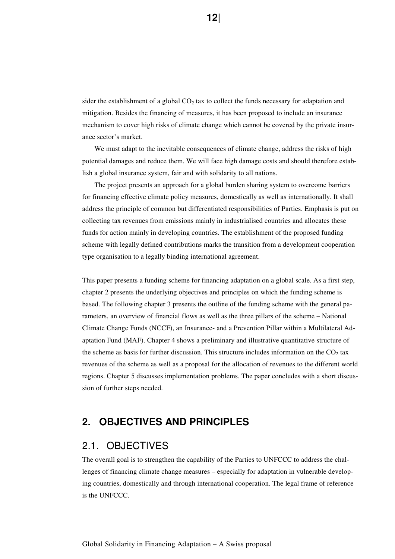sider the establishment of a global  $CO<sub>2</sub>$  tax to collect the funds necessary for adaptation and mitigation. Besides the financing of measures, it has been proposed to include an insurance mechanism to cover high risks of climate change which cannot be covered by the private insurance sector's market.

We must adapt to the inevitable consequences of climate change, address the risks of high potential damages and reduce them. We will face high damage costs and should therefore establish a global insurance system, fair and with solidarity to all nations.

The project presents an approach for a global burden sharing system to overcome barriers for financing effective climate policy measures, domestically as well as internationally. It shall address the principle of common but differentiated responsibilities of Parties. Emphasis is put on collecting tax revenues from emissions mainly in industrialised countries and allocates these funds for action mainly in developing countries. The establishment of the proposed funding scheme with legally defined contributions marks the transition from a development cooperation type organisation to a legally binding international agreement.

This paper presents a funding scheme for financing adaptation on a global scale. As a first step, chapter 2 presents the underlying objectives and principles on which the funding scheme is based. The following chapter 3 presents the outline of the funding scheme with the general parameters, an overview of financial flows as well as the three pillars of the scheme – National Climate Change Funds (NCCF), an Insurance- and a Prevention Pillar within a Multilateral Adaptation Fund (MAF). Chapter 4 shows a preliminary and illustrative quantitative structure of the scheme as basis for further discussion. This structure includes information on the  $CO<sub>2</sub>$  tax revenues of the scheme as well as a proposal for the allocation of revenues to the different world regions. Chapter 5 discusses implementation problems. The paper concludes with a short discussion of further steps needed.

# **2. OBJECTIVES AND PRINCIPLES**

# 2.1. OBJECTIVES

The overall goal is to strengthen the capability of the Parties to UNFCCC to address the challenges of financing climate change measures – especially for adaptation in vulnerable developing countries, domestically and through international cooperation. The legal frame of reference is the UNFCCC.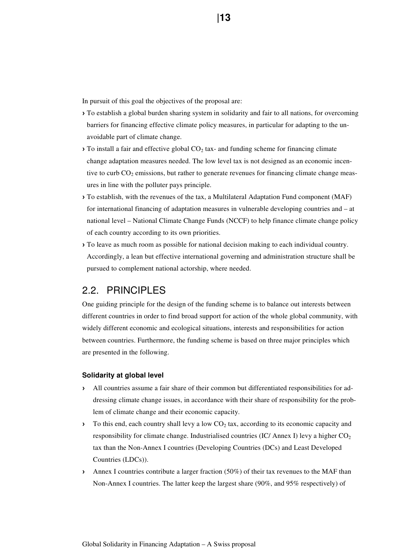In pursuit of this goal the objectives of the proposal are:

- › To establish a global burden sharing system in solidarity and fair to all nations, for overcoming barriers for financing effective climate policy measures, in particular for adapting to the unavoidable part of climate change.
- $\triangleright$  To install a fair and effective global CO<sub>2</sub> tax- and funding scheme for financing climate change adaptation measures needed. The low level tax is not designed as an economic incentive to curb  $CO<sub>2</sub>$  emissions, but rather to generate revenues for financing climate change measures in line with the polluter pays principle.
- › To establish, with the revenues of the tax, a Multilateral Adaptation Fund component (MAF) for international financing of adaptation measures in vulnerable developing countries and – at national level – National Climate Change Funds (NCCF) to help finance climate change policy of each country according to its own priorities.
- › To leave as much room as possible for national decision making to each individual country. Accordingly, a lean but effective international governing and administration structure shall be pursued to complement national actorship, where needed.

# 2.2. PRINCIPLES

One guiding principle for the design of the funding scheme is to balance out interests between different countries in order to find broad support for action of the whole global community, with widely different economic and ecological situations, interests and responsibilities for action between countries. Furthermore, the funding scheme is based on three major principles which are presented in the following.

## **Solidarity at global level**

- › All countries assume a fair share of their common but differentiated responsibilities for addressing climate change issues, in accordance with their share of responsibility for the problem of climate change and their economic capacity.
- $\triangleright$  To this end, each country shall levy a low CO<sub>2</sub> tax, according to its economic capacity and responsibility for climate change. Industrialised countries (IC/ Annex I) levy a higher  $CO<sub>2</sub>$ tax than the Non-Annex I countries (Developing Countries (DCs) and Least Developed Countries (LDCs)).
- › Annex I countries contribute a larger fraction (50%) of their tax revenues to the MAF than Non-Annex I countries. The latter keep the largest share (90%, and 95% respectively) of

**13 13 13 13**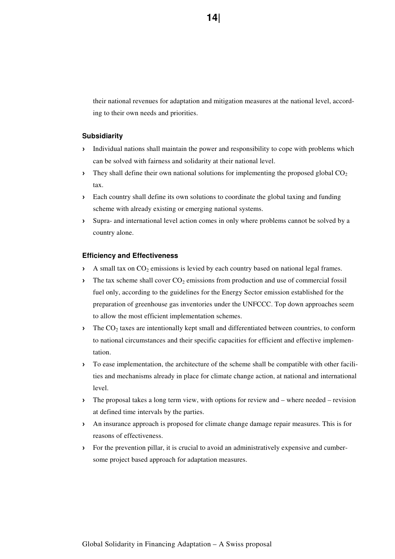their national revenues for adaptation and mitigation measures at the national level, according to their own needs and priorities.

### **Subsidiarity**

- › Individual nations shall maintain the power and responsibility to cope with problems which can be solved with fairness and solidarity at their national level.
- $\rightarrow$  They shall define their own national solutions for implementing the proposed global CO<sub>2</sub> tax.
- › Each country shall define its own solutions to coordinate the global taxing and funding scheme with already existing or emerging national systems.
- › Supra- and international level action comes in only where problems cannot be solved by a country alone.

#### **Efficiency and Effectiveness**

- $\lambda$  A small tax on  $CO_2$  emissions is levied by each country based on national legal frames.
- $\lambda$  The tax scheme shall cover  $CO_2$  emissions from production and use of commercial fossil fuel only, according to the guidelines for the Energy Sector emission established for the preparation of greenhouse gas inventories under the UNFCCC. Top down approaches seem to allow the most efficient implementation schemes.
- $\angle\blacksquare$  The CO<sub>2</sub> taxes are intentionally kept small and differentiated between countries, to conform to national circumstances and their specific capacities for efficient and effective implementation.
- › To ease implementation, the architecture of the scheme shall be compatible with other facilities and mechanisms already in place for climate change action, at national and international level.
- › The proposal takes a long term view, with options for review and where needed revision at defined time intervals by the parties.
- › An insurance approach is proposed for climate change damage repair measures. This is for reasons of effectiveness.
- › For the prevention pillar, it is crucial to avoid an administratively expensive and cumbersome project based approach for adaptation measures.

**14 14**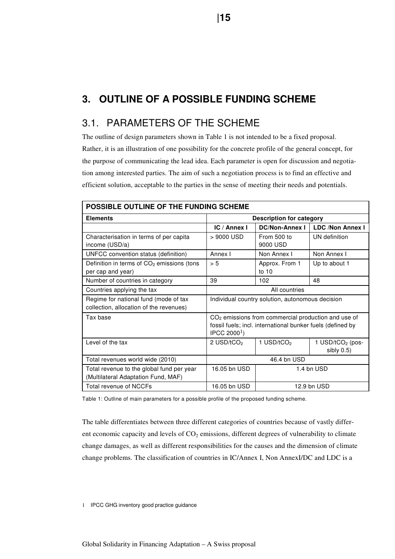# **3. OUTLINE OF A POSSIBLE FUNDING SCHEME**

# 3.1. PARAMETERS OF THE SCHEME

The outline of design parameters shown in Table 1 is not intended to be a fixed proposal. Rather, it is an illustration of one possibility for the concrete profile of the general concept, for the purpose of communicating the lead idea. Each parameter is open for discussion and negotiation among interested parties. The aim of such a negotiation process is to find an effective and efficient solution, acceptable to the parties in the sense of meeting their needs and potentials.

| POSSIBLE OUTLINE OF THE FUNDING SCHEME                                           |                                                                                                                                               |                                                  |                                      |  |  |  |  |
|----------------------------------------------------------------------------------|-----------------------------------------------------------------------------------------------------------------------------------------------|--------------------------------------------------|--------------------------------------|--|--|--|--|
| <b>Elements</b>                                                                  |                                                                                                                                               | <b>Description for category</b>                  |                                      |  |  |  |  |
|                                                                                  | IC / Annex I                                                                                                                                  | <b>DC/Non-Annex I</b>                            | <b>LDC /Non Annex I</b>              |  |  |  |  |
| Characterisation in terms of per capita<br>income (USD/a)                        | > 9000 USD                                                                                                                                    | From 500 to<br>9000 USD                          | UN definition                        |  |  |  |  |
| UNFCC convention status (definition)                                             | Annex I                                                                                                                                       | Non Annex I                                      | Non Annex I                          |  |  |  |  |
| Definition in terms of CO <sub>2</sub> emissions (tons<br>per cap and year)      | > 5                                                                                                                                           | Approx. From 1<br>to $10$                        | Up to about 1                        |  |  |  |  |
| Number of countries in category                                                  | 102<br>39<br>48                                                                                                                               |                                                  |                                      |  |  |  |  |
| Countries applying the tax                                                       | All countries                                                                                                                                 |                                                  |                                      |  |  |  |  |
| Regime for national fund (mode of tax<br>collection, allocation of the revenues) |                                                                                                                                               | Individual country solution, autonomous decision |                                      |  |  |  |  |
| Tax base                                                                         | $CO2$ emissions from commercial production and use of<br>fossil fuels; incl. international bunker fuels (defined by<br> PCC 2000 <sup>1</sup> |                                                  |                                      |  |  |  |  |
| Level of the tax                                                                 | 2 USD/tCO <sub>2</sub>                                                                                                                        | 1 USD/tCO <sub>2</sub>                           | 1 USD/ $tCO2$ (pos-<br>sibly $0.5$ ) |  |  |  |  |
| Total revenues world wide (2010)                                                 | 46.4 bn USD                                                                                                                                   |                                                  |                                      |  |  |  |  |
| Total revenue to the global fund per year<br>(Multilateral Adaptation Fund, MAF) | 16.05 bn USD                                                                                                                                  |                                                  | 1.4 bn USD                           |  |  |  |  |
| Total revenue of NCCFs                                                           | 16.05 bn USD<br>12.9 bn USD                                                                                                                   |                                                  |                                      |  |  |  |  |

Table 1: Outline of main parameters for a possible profile of the proposed funding scheme.

The table differentiates between three different categories of countries because of vastly different economic capacity and levels of  $CO<sub>2</sub>$  emissions, different degrees of vulnerability to climate change damages, as well as different responsibilities for the causes and the dimension of climate change problems. The classification of countries in IC/Annex I, Non AnnexI/DC and LDC is a

1 IPCC GHG inventory good practice guidance

Global Solidarity in Financing Adaptation – A Swiss proposal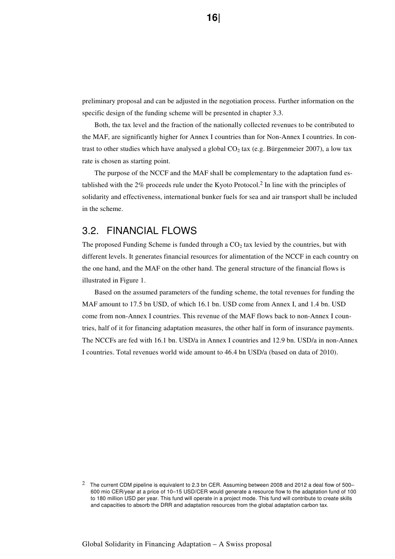preliminary proposal and can be adjusted in the negotiation process. Further information on the specific design of the funding scheme will be presented in chapter 3.3.

Both, the tax level and the fraction of the nationally collected revenues to be contributed to the MAF, are significantly higher for Annex I countries than for Non-Annex I countries. In contrast to other studies which have analysed a global  $CO<sub>2</sub>$  tax (e.g. Bürgenmeier 2007), a low tax rate is chosen as starting point.

 The purpose of the NCCF and the MAF shall be complementary to the adaptation fund established with the 2% proceeds rule under the Kyoto Protocol.2 In line with the principles of solidarity and effectiveness, international bunker fuels for sea and air transport shall be included in the scheme.

# 3.2. FINANCIAL FLOWS

The proposed Funding Scheme is funded through a  $CO<sub>2</sub>$  tax levied by the countries, but with different levels. It generates financial resources for alimentation of the NCCF in each country on the one hand, and the MAF on the other hand. The general structure of the financial flows is illustrated in Figure 1.

Based on the assumed parameters of the funding scheme, the total revenues for funding the MAF amount to 17.5 bn USD, of which 16.1 bn. USD come from Annex I, and 1.4 bn. USD come from non-Annex I countries. This revenue of the MAF flows back to non-Annex I countries, half of it for financing adaptation measures, the other half in form of insurance payments. The NCCFs are fed with 16.1 bn. USD/a in Annex I countries and 12.9 bn. USD/a in non-Annex I countries. Total revenues world wide amount to 46.4 bn USD/a (based on data of 2010).

 $2$  The current CDM pipeline is equivalent to 2.3 bn CER. Assuming between 2008 and 2012 a deal flow of 500– 600 mio CER/year at a price of 10–15 USD/CER would generate a resource flow to the adaptation fund of 100 to 180 million USD per year. This fund will operate in a project mode. This fund will contribute to create skills and capacities to absorb the DRR and adaptation resources from the global adaptation carbon tax.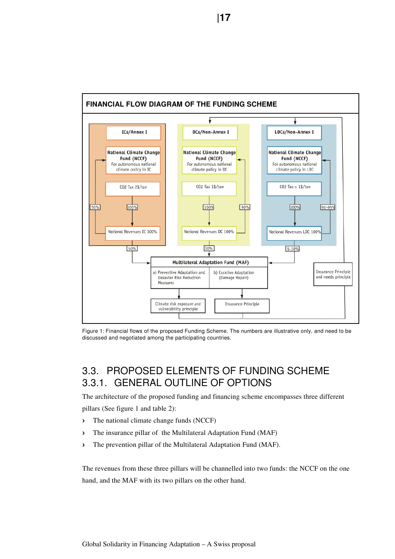

Figure 1: Financial flows of the proposed Funding Scheme. The numbers are illustrative only, and need to be discussed and negotiated among the participating countries.

# 3.3. PROPOSED ELEMENTS OF FUNDING SCHEME 3.3.1. GENERAL OUTLINE OF OPTIONS

The architecture of the proposed funding and financing scheme encompasses three different pillars (See figure 1 and table 2):

- › The national climate change funds (NCCF)
- › The insurance pillar of the Multilateral Adaptation Fund (MAF)
- › The prevention pillar of the Multilateral Adaptation Fund (MAF).

The revenues from these three pillars will be channelled into two funds: the NCCF on the one hand, and the MAF with its two pillars on the other hand.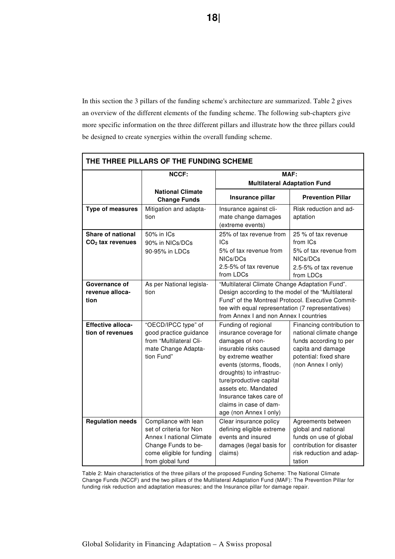In this section the 3 pillars of the funding scheme's architecture are summarized. Table 2 gives an overview of the different elements of the funding scheme. The following sub-chapters give more specific information on the three different pillars and illustrate how the three pillars could be designed to create synergies within the overall funding scheme.

| THE THREE PILLARS OF THE FUNDING SCHEME      |                                                                                                                                                     |                                                                                                                                                                                                                                                                                                           |                                                                                                                                                     |  |  |  |  |
|----------------------------------------------|-----------------------------------------------------------------------------------------------------------------------------------------------------|-----------------------------------------------------------------------------------------------------------------------------------------------------------------------------------------------------------------------------------------------------------------------------------------------------------|-----------------------------------------------------------------------------------------------------------------------------------------------------|--|--|--|--|
|                                              | <b>NCCF:</b>                                                                                                                                        |                                                                                                                                                                                                                                                                                                           | MAF:                                                                                                                                                |  |  |  |  |
|                                              |                                                                                                                                                     |                                                                                                                                                                                                                                                                                                           | <b>Multilateral Adaptation Fund</b>                                                                                                                 |  |  |  |  |
|                                              | <b>National Climate</b><br><b>Change Funds</b>                                                                                                      | Insurance pillar                                                                                                                                                                                                                                                                                          | <b>Prevention Pillar</b>                                                                                                                            |  |  |  |  |
| <b>Type of measures</b>                      | Mitigation and adapta-<br>tion                                                                                                                      | Insurance against cli-<br>mate change damages<br>(extreme events)                                                                                                                                                                                                                                         | Risk reduction and ad-<br>aptation                                                                                                                  |  |  |  |  |
| Share of national<br>$CO2$ tax revenues      | 50% in ICs<br>90% in NICs/DCs<br>90-95% in LDCs                                                                                                     | 25% of tax revenue from<br>ICs<br>5% of tax revenue from<br>NICs/DCs<br>2.5-5% of tax revenue<br>from LDCs                                                                                                                                                                                                | 25 % of tax revenue<br>from ICs<br>5% of tax revenue from<br>NICs/DCs<br>2.5-5% of tax revenue<br>from LDCs                                         |  |  |  |  |
| Governance of<br>revenue alloca-<br>tion     | As per National legisla-<br>tion                                                                                                                    | "Multilateral Climate Change Adaptation Fund".<br>Design according to the model of the "Multilateral<br>Fund" of the Montreal Protocol. Executive Commit-<br>tee with equal representation (7 representatives)<br>from Annex I and non Annex I countries                                                  |                                                                                                                                                     |  |  |  |  |
| <b>Effective alloca-</b><br>tion of revenues | "OECD/IPCC type" of<br>good practice guidance<br>from "Multilateral Cli-<br>mate Change Adapta-<br>tion Fund"                                       | Funding of regional<br>insurance coverage for<br>damages of non-<br>insurable risks caused<br>by extreme weather<br>events (storms, floods,<br>droughts) to infrastruc-<br>ture/productive capital<br>assets etc. Mandated<br>Insurance takes care of<br>claims in case of dam-<br>age (non Annex I only) | Financing contribution to<br>national climate change<br>funds according to per<br>capita and damage<br>potential: fixed share<br>(non Annex I only) |  |  |  |  |
| <b>Regulation needs</b>                      | Compliance with lean<br>set of criteria for Non<br>Annex I national Climate<br>Change Funds to be-<br>come eligible for funding<br>from global fund | Clear insurance policy<br>defining eligible extreme<br>events and insured<br>damages (legal basis for<br>claims)                                                                                                                                                                                          | Agreements between<br>global and national<br>funds on use of global<br>contribution for disaster<br>risk reduction and adap-<br>tation              |  |  |  |  |

Table 2: Main characteristics of the three pillars of the proposed Funding Scheme: The National Climate Change Funds (NCCF) and the two pillars of the Multilateral Adaptation Fund (MAF): The Prevention Pillar for funding risk reduction and adaptation measures; and the Insurance pillar for damage repair.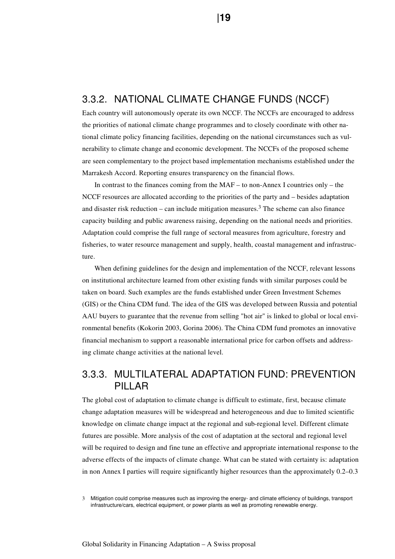# 3.3.2. NATIONAL CLIMATE CHANGE FUNDS (NCCF)

Each country will autonomously operate its own NCCF. The NCCFs are encouraged to address the priorities of national climate change programmes and to closely coordinate with other national climate policy financing facilities, depending on the national circumstances such as vulnerability to climate change and economic development. The NCCFs of the proposed scheme are seen complementary to the project based implementation mechanisms established under the Marrakesh Accord. Reporting ensures transparency on the financial flows.

In contrast to the finances coming from the MAF – to non-Annex I countries only – the NCCF resources are allocated according to the priorities of the party and – besides adaptation and disaster risk reduction – can include mitigation measures.<sup>3</sup> The scheme can also finance capacity building and public awareness raising, depending on the national needs and priorities. Adaptation could comprise the full range of sectoral measures from agriculture, forestry and fisheries, to water resource management and supply, health, coastal management and infrastructure.

When defining guidelines for the design and implementation of the NCCF, relevant lessons on institutional architecture learned from other existing funds with similar purposes could be taken on board. Such examples are the funds established under Green Investment Schemes (GIS) or the China CDM fund. The idea of the GIS was developed between Russia and potential AAU buyers to guarantee that the revenue from selling "hot air" is linked to global or local environmental benefits (Kokorin 2003, Gorina 2006). The China CDM fund promotes an innovative financial mechanism to support a reasonable international price for carbon offsets and addressing climate change activities at the national level.

# 3.3.3. MULTILATERAL ADAPTATION FUND: PREVENTION PILLAR

The global cost of adaptation to climate change is difficult to estimate, first, because climate change adaptation measures will be widespread and heterogeneous and due to limited scientific knowledge on climate change impact at the regional and sub-regional level. Different climate futures are possible. More analysis of the cost of adaptation at the sectoral and regional level will be required to design and fine tune an effective and appropriate international response to the adverse effects of the impacts of climate change. What can be stated with certainty is: adaptation in non Annex I parties will require significantly higher resources than the approximately 0.2–0.3

3 Mitigation could comprise measures such as improving the energy- and climate efficiency of buildings, transport infrastructure/cars, electrical equipment, or power plants as well as promoting renewable energy.

 **|19**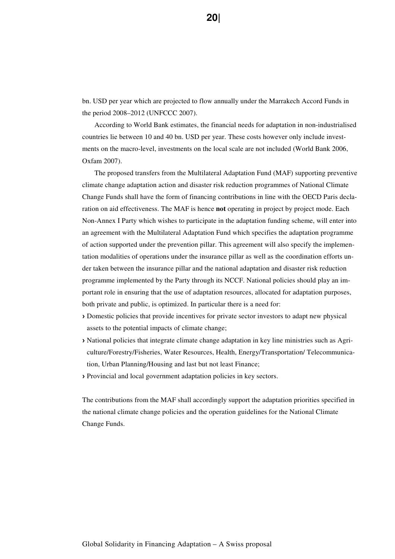bn. USD per year which are projected to flow annually under the Marrakech Accord Funds in the period 2008–2012 (UNFCCC 2007).

According to World Bank estimates, the financial needs for adaptation in non-industrialised countries lie between 10 and 40 bn. USD per year. These costs however only include investments on the macro-level, investments on the local scale are not included (World Bank 2006, Oxfam 2007).

The proposed transfers from the Multilateral Adaptation Fund (MAF) supporting preventive climate change adaptation action and disaster risk reduction programmes of National Climate Change Funds shall have the form of financing contributions in line with the OECD Paris declaration on aid effectiveness. The MAF is hence **not** operating in project by project mode. Each Non-Annex I Party which wishes to participate in the adaptation funding scheme, will enter into an agreement with the Multilateral Adaptation Fund which specifies the adaptation programme of action supported under the prevention pillar. This agreement will also specify the implementation modalities of operations under the insurance pillar as well as the coordination efforts under taken between the insurance pillar and the national adaptation and disaster risk reduction programme implemented by the Party through its NCCF. National policies should play an important role in ensuring that the use of adaptation resources, allocated for adaptation purposes, both private and public, is optimized. In particular there is a need for:

- › Domestic policies that provide incentives for private sector investors to adapt new physical assets to the potential impacts of climate change;
- › National policies that integrate climate change adaptation in key line ministries such as Agriculture/Forestry/Fisheries, Water Resources, Health, Energy/Transportation/ Telecommunication, Urban Planning/Housing and last but not least Finance;
- › Provincial and local government adaptation policies in key sectors.

The contributions from the MAF shall accordingly support the adaptation priorities specified in the national climate change policies and the operation guidelines for the National Climate Change Funds.

**20| 20|**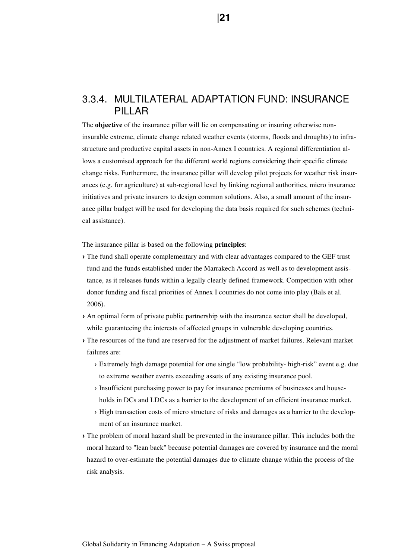# 3.3.4. MULTILATERAL ADAPTATION FUND: INSURANCE PILLAR

The **objective** of the insurance pillar will lie on compensating or insuring otherwise noninsurable extreme, climate change related weather events (storms, floods and droughts) to infrastructure and productive capital assets in non-Annex I countries. A regional differentiation allows a customised approach for the different world regions considering their specific climate change risks. Furthermore, the insurance pillar will develop pilot projects for weather risk insurances (e.g. for agriculture) at sub-regional level by linking regional authorities, micro insurance initiatives and private insurers to design common solutions. Also, a small amount of the insurance pillar budget will be used for developing the data basis required for such schemes (technical assistance).

The insurance pillar is based on the following **principles**:

- › The fund shall operate complementary and with clear advantages compared to the GEF trust fund and the funds established under the Marrakech Accord as well as to development assistance, as it releases funds within a legally clearly defined framework. Competition with other donor funding and fiscal priorities of Annex I countries do not come into play (Bals et al. 2006).
- › An optimal form of private public partnership with the insurance sector shall be developed, while guaranteeing the interests of affected groups in vulnerable developing countries.
- › The resources of the fund are reserved for the adjustment of market failures. Relevant market failures are:
	- › Extremely high damage potential for one single "low probability- high-risk" event e.g. due to extreme weather events exceeding assets of any existing insurance pool.
	- › Insufficient purchasing power to pay for insurance premiums of businesses and households in DCs and LDCs as a barrier to the development of an efficient insurance market.
	- › High transaction costs of micro structure of risks and damages as a barrier to the development of an insurance market.
- › The problem of moral hazard shall be prevented in the insurance pillar. This includes both the moral hazard to "lean back" because potential damages are covered by insurance and the moral hazard to over-estimate the potential damages due to climate change within the process of the risk analysis.

**121 121**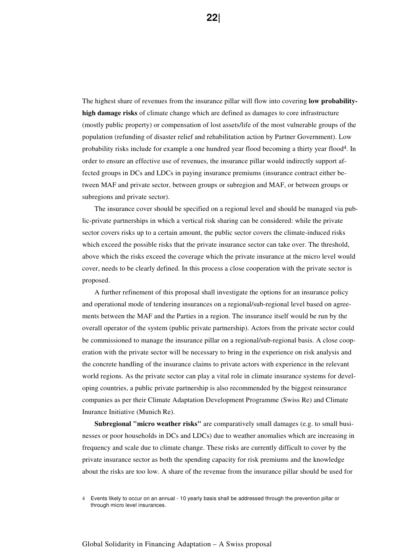The highest share of revenues from the insurance pillar will flow into covering **low probabilityhigh damage risks** of climate change which are defined as damages to core infrastructure (mostly public property) or compensation of lost assets/life of the most vulnerable groups of the population (refunding of disaster relief and rehabilitation action by Partner Government). Low probability risks include for example a one hundred year flood becoming a thirty year flood4. In order to ensure an effective use of revenues, the insurance pillar would indirectly support affected groups in DCs and LDCs in paying insurance premiums (insurance contract either between MAF and private sector, between groups or subregion and MAF, or between groups or subregions and private sector).

The insurance cover should be specified on a regional level and should be managed via public-private partnerships in which a vertical risk sharing can be considered: while the private sector covers risks up to a certain amount, the public sector covers the climate-induced risks which exceed the possible risks that the private insurance sector can take over. The threshold, above which the risks exceed the coverage which the private insurance at the micro level would cover, needs to be clearly defined. In this process a close cooperation with the private sector is proposed.

A further refinement of this proposal shall investigate the options for an insurance policy and operational mode of tendering insurances on a regional/sub-regional level based on agreements between the MAF and the Parties in a region. The insurance itself would be run by the overall operator of the system (public private partnership). Actors from the private sector could be commissioned to manage the insurance pillar on a regional/sub-regional basis. A close cooperation with the private sector will be necessary to bring in the experience on risk analysis and the concrete handling of the insurance claims to private actors with experience in the relevant world regions. As the private sector can play a vital role in climate insurance systems for developing countries, a public private partnership is also recommended by the biggest reinsurance companies as per their Climate Adaptation Development Programme (Swiss Re) and Climate Inurance Initiative (Munich Re).

**Subregional "micro weather risks"** are comparatively small damages (e.g. to small businesses or poor households in DCs and LDCs) due to weather anomalies which are increasing in frequency and scale due to climate change. These risks are currently difficult to cover by the private insurance sector as both the spending capacity for risk premiums and the knowledge about the risks are too low. A share of the revenue from the insurance pillar should be used for

Global Solidarity in Financing Adaptation – A Swiss proposal

<sup>4</sup> Events likely to occur on an annual - 10 yearly basis shall be addressed through the prevention pillar or through micro level insurances.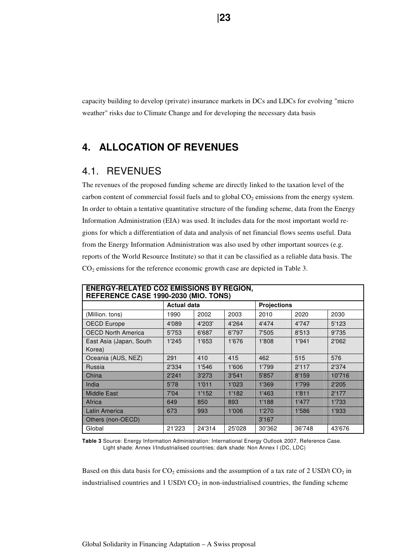capacity building to develop (private) insurance markets in DCs and LDCs for evolving "micro weather" risks due to Climate Change and for developing the necessary data basis

# **4. ALLOCATION OF REVENUES**

# 4.1. REVENUES

The revenues of the proposed funding scheme are directly linked to the taxation level of the carbon content of commercial fossil fuels and to global  $CO<sub>2</sub>$  emissions from the energy system. In order to obtain a tentative quantitative structure of the funding scheme, data from the Energy Information Administration (EIA) was used. It includes data for the most important world regions for which a differentiation of data and analysis of net financial flows seems useful. Data from the Energy Information Administration was also used by other important sources (e.g. reports of the World Resource Institute) so that it can be classified as a reliable data basis. The CO2 emissions for the reference economic growth case are depicted in Table 3.

| <b>ENERGY-RELATED CO2 EMISSIONS BY REGION,</b><br>REFERENCE CASE 1990-2030 (MIO. TONS) |                    |        |        |                    |        |        |  |  |
|----------------------------------------------------------------------------------------|--------------------|--------|--------|--------------------|--------|--------|--|--|
|                                                                                        | <b>Actual data</b> |        |        | <b>Projections</b> |        |        |  |  |
| (Million. tons)                                                                        | 1990               | 2002   | 2003   | 2010               | 2020   | 2030   |  |  |
| <b>OECD Europe</b>                                                                     | 4'089              | 4'203' | 4'264  | 4'474              | 4'747  | 5'123  |  |  |
| <b>OECD North America</b>                                                              | 5'753              | 6'687  | 6'797  | 7'505              | 8'513  | 9'735  |  |  |
| East Asia (Japan, South                                                                | 1'245              | 1'653  | 1'676  | 1'808              | 1'941  | 2'062  |  |  |
| Korea)                                                                                 |                    |        |        |                    |        |        |  |  |
| Oceania (AUS, NEZ)                                                                     | 291                | 410    | 415    | 462                | 515    | 576    |  |  |
| Russia                                                                                 | 2'334              | 1'546  | 1'606  | 1'799              | 2'117  | 2'374  |  |  |
| China                                                                                  | 2'241              | 3'273  | 3'541  | 5'857              | 8'159  | 10'716 |  |  |
| India                                                                                  | 5'78               | 1'011  | 1'023  | 1'369              | 1'799  | 2'205  |  |  |
| <b>Middle East</b>                                                                     | 7'04               | 1'152  | 1'182  | 1'463              | 1'811  | 2'177  |  |  |
| Africa                                                                                 | 649                | 850    | 893    | 1'188              | 1'477  | 1'733  |  |  |
| Latin America                                                                          | 673                | 993    | 1'006  | 1'270              | 1'586  | 1'933  |  |  |
| Others (non-OECD)                                                                      |                    |        |        | 3'167              |        |        |  |  |
| Global                                                                                 | 21'223             | 24'314 | 25'028 | 30'362             | 36'748 | 43'676 |  |  |

**Table 3** Source: Energy Information Administration: International Energy Outlook 2007, Reference Case. Light shade: Annex I/Industrialised countries; dark shade: Non Annex I (DC, LDC)

Based on this data basis for  $CO<sub>2</sub>$  emissions and the assumption of a tax rate of 2 USD/t  $CO<sub>2</sub>$  in industrialised countries and  $1$  USD/t CO<sub>2</sub> in non-industrialised countries, the funding scheme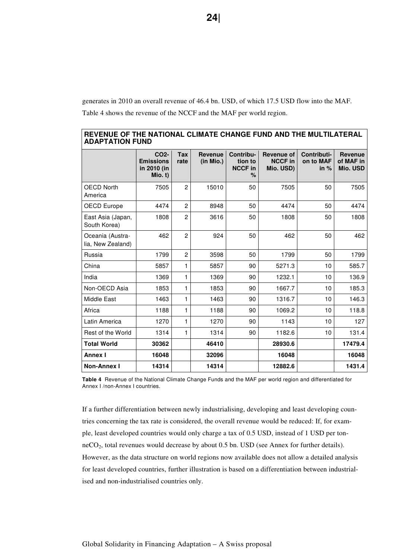generates in 2010 an overall revenue of 46.4 bn. USD, of which 17.5 USD flow into the MAF. Table 4 shows the revenue of the NCCF and the MAF per world region.

|                                       | CO <sub>2</sub> -<br><b>Emissions</b><br>in 2010 (in<br>Mio. t) | <b>Tax</b><br>rate | <b>Revenue</b><br>(in Mio.) | Contribu-<br>tion to<br><b>NCCF in</b><br>% | Revenue of<br><b>NCCF in</b><br>Mio. USD) | Contributi-<br>on to MAF<br>in $%$ | <b>Revenue</b><br>of MAF in<br>Mio. USD |
|---------------------------------------|-----------------------------------------------------------------|--------------------|-----------------------------|---------------------------------------------|-------------------------------------------|------------------------------------|-----------------------------------------|
| <b>OECD North</b><br>America          | 7505                                                            | $\overline{2}$     | 15010                       | 50                                          | 7505                                      | 50                                 | 7505                                    |
| <b>OECD Europe</b>                    | 4474                                                            | $\overline{2}$     | 8948                        | 50                                          | 4474                                      | 50                                 | 4474                                    |
| East Asia (Japan,<br>South Korea)     | 1808                                                            | $\overline{2}$     | 3616                        | 50                                          | 1808                                      | 50                                 | 1808                                    |
| Oceania (Austra-<br>lia, New Zealand) | 462                                                             | $\overline{2}$     | 924                         | 50                                          | 462                                       | 50                                 | 462                                     |
| Russia                                | 1799                                                            | $\overline{c}$     | 3598                        | 50                                          | 1799                                      | 50                                 | 1799                                    |
| China                                 | 5857                                                            | 1                  | 5857                        | 90                                          | 5271.3                                    | 10                                 | 585.7                                   |
| India                                 | 1369                                                            | 1                  | 1369                        | 90                                          | 1232.1                                    | 10                                 | 136.9                                   |
| Non-OECD Asia                         | 1853                                                            | 1                  | 1853                        | 90                                          | 1667.7                                    | 10                                 | 185.3                                   |
| Middle East                           | 1463                                                            | 1                  | 1463                        | 90                                          | 1316.7                                    | 10                                 | 146.3                                   |
| Africa                                | 1188                                                            | 1                  | 1188                        | 90                                          | 1069.2                                    | 10                                 | 118.8                                   |
| Latin America                         | 1270                                                            | 1                  | 1270                        | 90                                          | 1143                                      | 10                                 | 127                                     |
| Rest of the World                     | 1314                                                            | 1                  | 1314                        | 90                                          | 1182.6                                    | 10                                 | 131.4                                   |
| <b>Total World</b>                    | 30362                                                           |                    | 46410                       |                                             | 28930.6                                   |                                    | 17479.4                                 |
| <b>Annex I</b>                        | 16048                                                           |                    | 32096                       |                                             | 16048                                     |                                    | 16048                                   |
| <b>Non-Annex I</b>                    | 14314                                                           |                    | 14314                       |                                             | 12882.6                                   |                                    | 1431.4                                  |

| REVENUE OF THE NATIONAL CLIMATE CHANGE FUND AND THE MULTILATERAL |  |
|------------------------------------------------------------------|--|
| <b>ADAPTATION FUND</b>                                           |  |

**Table 4** Revenue of the National Climate Change Funds and the MAF per world region and differentiated for Annex I /non-Annex I countries.

If a further differentiation between newly industrialising, developing and least developing countries concerning the tax rate is considered, the overall revenue would be reduced: If, for example, least developed countries would only charge a tax of 0.5 USD, instead of 1 USD per tonneCO2, total revenues would decrease by about 0.5 bn. USD (see Annex for further details). However, as the data structure on world regions now available does not allow a detailed analysis for least developed countries, further illustration is based on a differentiation between industrialised and non-industrialised countries only.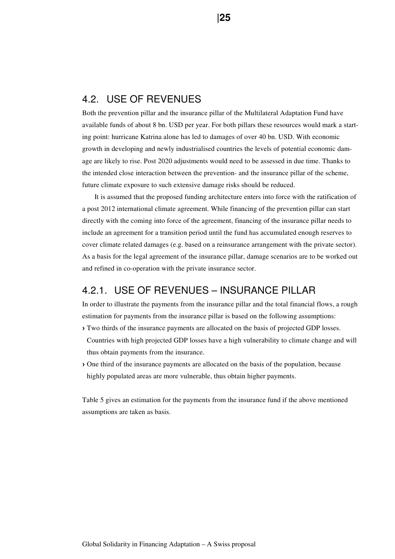# 4.2. USE OF REVENUES

Both the prevention pillar and the insurance pillar of the Multilateral Adaptation Fund have available funds of about 8 bn. USD per year. For both pillars these resources would mark a starting point: hurricane Katrina alone has led to damages of over 40 bn. USD. With economic growth in developing and newly industrialised countries the levels of potential economic damage are likely to rise. Post 2020 adjustments would need to be assessed in due time. Thanks to the intended close interaction between the prevention- and the insurance pillar of the scheme, future climate exposure to such extensive damage risks should be reduced.

It is assumed that the proposed funding architecture enters into force with the ratification of a post 2012 international climate agreement. While financing of the prevention pillar can start directly with the coming into force of the agreement, financing of the insurance pillar needs to include an agreement for a transition period until the fund has accumulated enough reserves to cover climate related damages (e.g. based on a reinsurance arrangement with the private sector). As a basis for the legal agreement of the insurance pillar, damage scenarios are to be worked out and refined in co-operation with the private insurance sector.

# 4.2.1. USE OF REVENUES – INSURANCE PILLAR

In order to illustrate the payments from the insurance pillar and the total financial flows, a rough estimation for payments from the insurance pillar is based on the following assumptions:

- › Two thirds of the insurance payments are allocated on the basis of projected GDP losses. Countries with high projected GDP losses have a high vulnerability to climate change and will thus obtain payments from the insurance.
- › One third of the insurance payments are allocated on the basis of the population, because highly populated areas are more vulnerable, thus obtain higher payments.

Table 5 gives an estimation for the payments from the insurance fund if the above mentioned assumptions are taken as basis.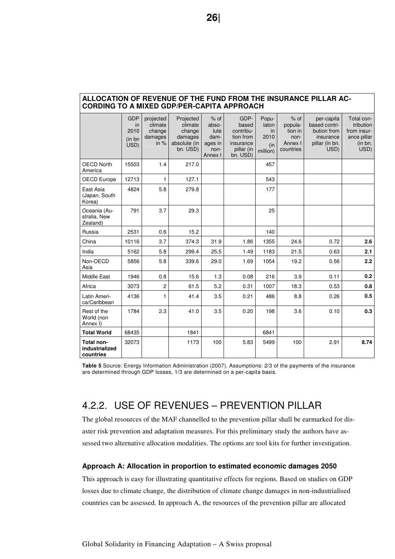| ALLOCATION OF REVENUE OF THE FUND FROM THE INSURANCE PILLAR AC-<br><b>CORDING TO A MIXED GDP/PER-CAPITA APPROACH</b> |                                                    |                                                     |                                                                       |                                                               |                                                                                |                                                        |                                                              |                                                                                   |                                                                          |  |
|----------------------------------------------------------------------------------------------------------------------|----------------------------------------------------|-----------------------------------------------------|-----------------------------------------------------------------------|---------------------------------------------------------------|--------------------------------------------------------------------------------|--------------------------------------------------------|--------------------------------------------------------------|-----------------------------------------------------------------------------------|--------------------------------------------------------------------------|--|
|                                                                                                                      | <b>GDP</b><br><i>in</i><br>2010<br>(in bn)<br>USD) | projected<br>climate<br>change<br>damages<br>in $%$ | Projected<br>climate<br>change<br>damages<br>absolute (in<br>bn. USD) | $%$ of<br>abso-<br>lute<br>dam-<br>ages in<br>non-<br>Annex I | GDP-<br>based<br>contribu-<br>tion from<br>insurance<br>pillar (in<br>bn. USD) | Popu-<br>laton<br><i>in</i><br>2010<br>(in<br>million) | $%$ of<br>popula-<br>tion in<br>non-<br>Annex I<br>countries | per-capita<br>based contri-<br>bution from<br>insurance<br>pillar (in bn.<br>USD) | Total con-<br>tribution<br>from insur-<br>ance pillar<br>(in bn.<br>USD) |  |
| <b>OECD North</b><br>America                                                                                         | 15503                                              | 1.4                                                 | 217.0                                                                 |                                                               |                                                                                | 457                                                    |                                                              |                                                                                   |                                                                          |  |
| OECD Europe                                                                                                          | 12713                                              | 1                                                   | 127.1                                                                 |                                                               |                                                                                | 543                                                    |                                                              |                                                                                   |                                                                          |  |
| East Asia<br>(Japan, South<br>Korea)                                                                                 | 4824                                               | 5.8                                                 | 279.8                                                                 |                                                               |                                                                                | 177                                                    |                                                              |                                                                                   |                                                                          |  |
| Oceania (Au-<br>stralia, New<br>Zealand)                                                                             | 791                                                | 3.7                                                 | 29.3                                                                  |                                                               |                                                                                | 25                                                     |                                                              |                                                                                   |                                                                          |  |
| Russia                                                                                                               | 2531                                               | 0.6                                                 | 15.2                                                                  |                                                               |                                                                                | 140                                                    |                                                              |                                                                                   |                                                                          |  |
| China                                                                                                                | 10116                                              | 3.7                                                 | 374.3                                                                 | 31.9                                                          | 1.86                                                                           | 1355                                                   | 24.6                                                         | 0.72                                                                              | 2.6                                                                      |  |
| India                                                                                                                | 5162                                               | 5.8                                                 | 299.4                                                                 | 25.5                                                          | 1.49                                                                           | 1183                                                   | 21.5                                                         | 0.63                                                                              | 2.1                                                                      |  |
| Non-OECD<br>Asia                                                                                                     | 5856                                               | 5.8                                                 | 339.6                                                                 | 29.0                                                          | 1.69                                                                           | 1054                                                   | 19.2                                                         | 0.56                                                                              | 2.2                                                                      |  |
| Middle East                                                                                                          | 1946                                               | 0.8                                                 | 15.6                                                                  | 1.3                                                           | 0.08                                                                           | 216                                                    | 3.9                                                          | 0.11                                                                              | 0.2                                                                      |  |
| Africa                                                                                                               | 3073                                               | $\overline{c}$                                      | 61.5                                                                  | 5.2                                                           | 0.31                                                                           | 1007                                                   | 18.3                                                         | 0.53                                                                              | 0.8                                                                      |  |
| Latin Ameri-<br>ca/Caribbean                                                                                         | 4136                                               | 1                                                   | 41.4                                                                  | 3.5                                                           | 0.21                                                                           | 486                                                    | 8.8                                                          | 0.26                                                                              | 0.5                                                                      |  |
| Rest of the<br>World (non<br>Annex I)                                                                                | 1784                                               | 2.3                                                 | 41.0                                                                  | 3.5                                                           | 0.20                                                                           | 198                                                    | 3.6                                                          | 0.10                                                                              | 0.3                                                                      |  |
| <b>Total World</b>                                                                                                   | 68435                                              |                                                     | 1841                                                                  |                                                               |                                                                                | 6841                                                   |                                                              |                                                                                   |                                                                          |  |
| Total non-<br>industrialized<br>countries                                                                            | 32073                                              |                                                     | 1173                                                                  | 100                                                           | 5.83                                                                           | 5499                                                   | 100                                                          | 2.91                                                                              | 8.74                                                                     |  |

# **ALLOCATION OF REVENUE OF THE FUND FROM THE INSURANCE PILLAR AC-**

**Table 5** Source: Energy Information Administration (2007). Assumptions: 2/3 of the payments of the insurance are determined through GDP losses, 1/3 are determined on a per-capita basis.

# 4.2.2. USE OF REVENUES – PREVENTION PILLAR

The global resources of the MAF channelled to the prevention pillar shall be earmarked for disaster risk prevention and adaptation measures. For this preliminary study the authors have assessed two alternative allocation modalities. The options are tool kits for further investigation.

## **Approach A: Allocation in proportion to estimated economic damages 2050**

This approach is easy for illustrating quantitative effects for regions. Based on studies on GDP losses due to climate change, the distribution of climate change damages in non-industrialised countries can be assessed. In approach A, the resources of the prevention pillar are allocated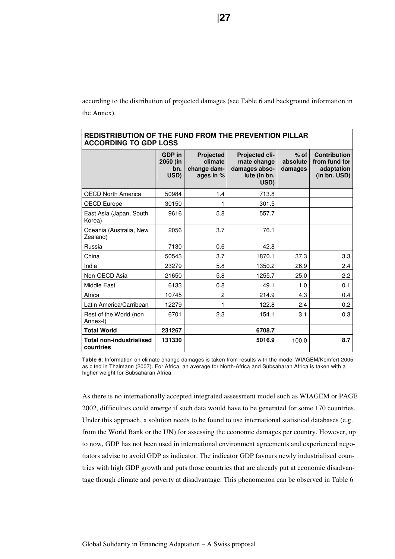according to the distribution of projected damages (see Table 6 and background information in the Annex).

| ACCONDING TO GDF LOSS                        |                                          |                                                  |                                                                        |                               |                                                                    |  |  |  |  |
|----------------------------------------------|------------------------------------------|--------------------------------------------------|------------------------------------------------------------------------|-------------------------------|--------------------------------------------------------------------|--|--|--|--|
|                                              | <b>GDP</b> in<br>2050 (in<br>bn.<br>USD) | Projected<br>climate<br>change dam-<br>ages in % | Projected cli-<br>mate change<br>damages abso-<br>lute (in bn.<br>USD) | $%$ of<br>absolute<br>damages | <b>Contribution</b><br>from fund for<br>adaptation<br>(in bn. USD) |  |  |  |  |
| <b>OECD North America</b>                    | 50984                                    | 1.4                                              | 713.8                                                                  |                               |                                                                    |  |  |  |  |
| OECD Europe                                  | 30150                                    |                                                  | 301.5                                                                  |                               |                                                                    |  |  |  |  |
| East Asia (Japan, South<br>Korea)            | 9616                                     | 5.8                                              | 557.7                                                                  |                               |                                                                    |  |  |  |  |
| Oceania (Australia, New<br>Zealand)          | 2056                                     | 3.7                                              | 76.1                                                                   |                               |                                                                    |  |  |  |  |
| Russia                                       | 7130                                     | 0.6                                              | 42.8                                                                   |                               |                                                                    |  |  |  |  |
| China                                        | 50543                                    | 3.7                                              | 1870.1                                                                 | 37.3                          | 3.3                                                                |  |  |  |  |
| India                                        | 23279                                    | 5.8                                              | 1350.2                                                                 | 26.9                          | 2.4                                                                |  |  |  |  |
| Non-OECD Asia                                | 21650                                    | 5.8                                              | 1255.7                                                                 | 25.0                          | 2.2                                                                |  |  |  |  |
| Middle East                                  | 6133                                     | 0.8                                              | 49.1                                                                   | 1.0                           | 0.1                                                                |  |  |  |  |
| Africa                                       | 10745                                    | $\overline{c}$                                   | 214.9                                                                  | 4.3                           | 0.4                                                                |  |  |  |  |
| Latin America/Carribean                      | 12279                                    |                                                  | 122.8                                                                  | 2.4                           | 0.2                                                                |  |  |  |  |
| Rest of the World (non<br>Annex-I)           | 6701                                     | 2.3                                              | 154.1                                                                  | 3.1                           | 0.3                                                                |  |  |  |  |
| <b>Total World</b>                           | 231267                                   |                                                  | 6708.7                                                                 |                               |                                                                    |  |  |  |  |
| <b>Total non-industrialised</b><br>countries | 131330                                   |                                                  | 5016.9                                                                 | 100.0                         | 8.7                                                                |  |  |  |  |

## **REDISTRIBUTION OF THE FUND FROM THE PREVENTION PILLAR ACCORDING TO GDP LOSS**

**Table 6**: Information on climate change damages is taken from results with the model WIAGEM/Kemfert 2005 as cited in Thalmann (2007). For Africa, an average for North-Africa and Subsaharan Africa is taken with a higher weight for Subsaharan Africa.

As there is no internationally accepted integrated assessment model such as WIAGEM or PAGE 2002, difficulties could emerge if such data would have to be generated for some 170 countries. Under this approach, a solution needs to be found to use international statistical databases (e.g. from the World Bank or the UN) for assessing the economic damages per country. However, up to now, GDP has not been used in international environment agreements and experienced negotiators advise to avoid GDP as indicator. The indicator GDP favours newly industrialised countries with high GDP growth and puts those countries that are already put at economic disadvantage though climate and poverty at disadvantage. This phenomenon can be observed in Table 6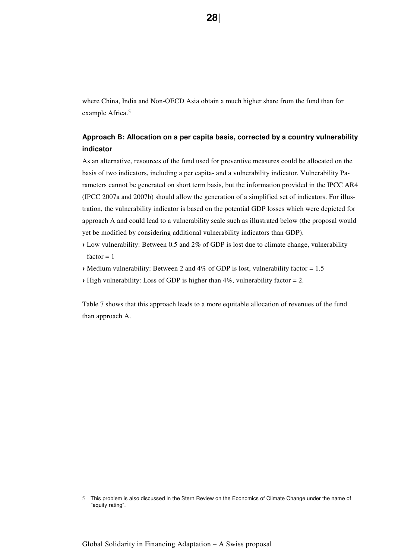where China, India and Non-OECD Asia obtain a much higher share from the fund than for example Africa.<sup>5</sup>

# **Approach B: Allocation on a per capita basis, corrected by a country vulnerability indicator**

As an alternative, resources of the fund used for preventive measures could be allocated on the basis of two indicators, including a per capita- and a vulnerability indicator. Vulnerability Parameters cannot be generated on short term basis, but the information provided in the IPCC AR4 (IPCC 2007a and 2007b) should allow the generation of a simplified set of indicators. For illustration, the vulnerability indicator is based on the potential GDP losses which were depicted for approach A and could lead to a vulnerability scale such as illustrated below (the proposal would yet be modified by considering additional vulnerability indicators than GDP).

- › Low vulnerability: Between 0.5 and 2% of GDP is lost due to climate change, vulnerability  $factor = 1$
- › Medium vulnerability: Between 2 and 4% of GDP is lost, vulnerability factor = 1.5
- $\rightarrow$  High vulnerability: Loss of GDP is higher than 4%, vulnerability factor = 2.

Table 7 shows that this approach leads to a more equitable allocation of revenues of the fund than approach A.

<sup>5</sup> This problem is also discussed in the Stern Review on the Economics of Climate Change under the name of "equity rating".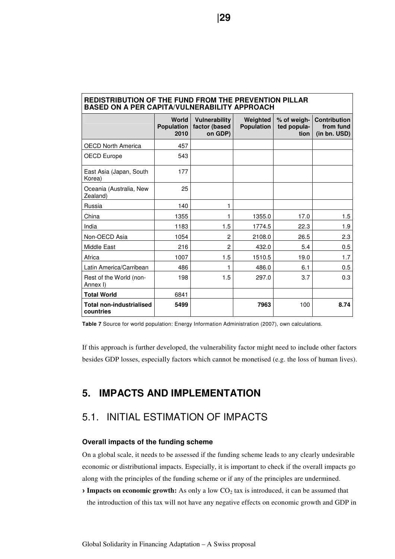| <b>BASED ON A PER CAPITA/VULNERABILITY APPROACH</b> |                                           |                                           |                               |                                    |                                                  |  |  |  |  |
|-----------------------------------------------------|-------------------------------------------|-------------------------------------------|-------------------------------|------------------------------------|--------------------------------------------------|--|--|--|--|
|                                                     | <b>World</b><br><b>Population</b><br>2010 | Vulnerability<br>factor (based<br>on GDP) | Weighted<br><b>Population</b> | % of weigh-<br>ted popula-<br>tion | <b>Contribution</b><br>from fund<br>(in bn. USD) |  |  |  |  |
| <b>OECD North America</b>                           | 457                                       |                                           |                               |                                    |                                                  |  |  |  |  |
| OECD Europe                                         | 543                                       |                                           |                               |                                    |                                                  |  |  |  |  |
| East Asia (Japan, South<br>Korea)                   | 177                                       |                                           |                               |                                    |                                                  |  |  |  |  |
| Oceania (Australia, New<br>Zealand)                 | 25                                        |                                           |                               |                                    |                                                  |  |  |  |  |
| Russia                                              | 140                                       | 1                                         |                               |                                    |                                                  |  |  |  |  |
| China                                               | 1355                                      | 1                                         | 1355.0                        | 17.0                               | 1.5                                              |  |  |  |  |
| India                                               | 1183                                      | 1.5                                       | 1774.5                        | 22.3                               | 1.9                                              |  |  |  |  |
| Non-OECD Asia                                       | 1054                                      | $\overline{c}$                            | 2108.0                        | 26.5                               | 2.3                                              |  |  |  |  |
| Middle East                                         | 216                                       | $\overline{2}$                            | 432.0                         | 5.4                                | 0.5                                              |  |  |  |  |
| Africa                                              | 1007                                      | 1.5                                       | 1510.5                        | 19.0                               | 1.7                                              |  |  |  |  |
| Latin America/Carribean                             | 486                                       | 1                                         | 486.0                         | 6.1                                | 0.5                                              |  |  |  |  |
| Rest of the World (non-<br>Annex I)                 | 198                                       | 1.5                                       | 297.0                         | 3.7                                | 0.3                                              |  |  |  |  |
| <b>Total World</b>                                  | 6841                                      |                                           |                               |                                    |                                                  |  |  |  |  |
| <b>Total non-industrialised</b><br>countries        | 5499                                      |                                           | 7963                          | 100                                | 8.74                                             |  |  |  |  |

# **REDISTRIBUTION OF THE FUND FROM THE PREVENTION PILLAR**

**Table 7** Source for world population: Energy Information Administration (2007), own calculations.

If this approach is further developed, the vulnerability factor might need to include other factors besides GDP losses, especially factors which cannot be monetised (e.g. the loss of human lives).

# **5. IMPACTS AND IMPLEMENTATION**

# 5.1. INITIAL ESTIMATION OF IMPACTS

## **Overall impacts of the funding scheme**

On a global scale, it needs to be assessed if the funding scheme leads to any clearly undesirable economic or distributional impacts. Especially, it is important to check if the overall impacts go along with the principles of the funding scheme or if any of the principles are undermined.

 $\rightarrow$  **Impacts on economic growth:** As only a low  $CO<sub>2</sub>$  tax is introduced, it can be assumed that the introduction of this tax will not have any negative effects on economic growth and GDP in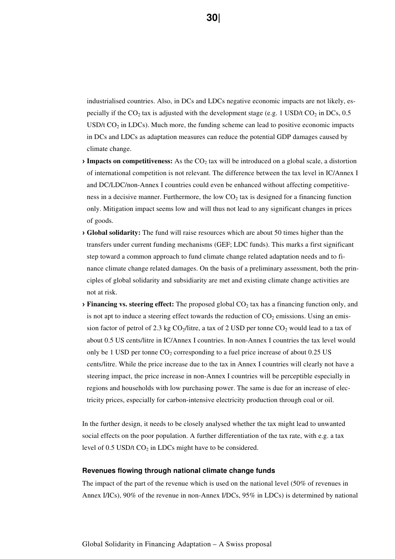industrialised countries. Also, in DCs and LDCs negative economic impacts are not likely, especially if the CO<sub>2</sub> tax is adjusted with the development stage (e.g. 1 USD/t CO<sub>2</sub> in DCs, 0.5 USD/t  $CO<sub>2</sub>$  in LDCs). Much more, the funding scheme can lead to positive economic impacts in DCs and LDCs as adaptation measures can reduce the potential GDP damages caused by climate change.

- **Impacts on competitiveness:** As the CO<sub>2</sub> tax will be introduced on a global scale, a distortion of international competition is not relevant. The difference between the tax level in IC/Annex I and DC/LDC/non-Annex I countries could even be enhanced without affecting competitiveness in a decisive manner. Furthermore, the low  $CO<sub>2</sub>$  tax is designed for a financing function only. Mitigation impact seems low and will thus not lead to any significant changes in prices of goods.
- › **Global solidarity:** The fund will raise resources which are about 50 times higher than the transfers under current funding mechanisms (GEF; LDC funds). This marks a first significant step toward a common approach to fund climate change related adaptation needs and to finance climate change related damages. On the basis of a preliminary assessment, both the principles of global solidarity and subsidiarity are met and existing climate change activities are not at risk.
- **> Financing vs. steering effect:** The proposed global CO<sub>2</sub> tax has a financing function only, and is not apt to induce a steering effect towards the reduction of  $CO<sub>2</sub>$  emissions. Using an emission factor of petrol of 2.3 kg  $CO_2/l$ litre, a tax of 2 USD per tonne  $CO_2$  would lead to a tax of about 0.5 US cents/litre in IC/Annex I countries. In non-Annex I countries the tax level would only be 1 USD per tonne  $CO_2$  corresponding to a fuel price increase of about 0.25 US cents/litre. While the price increase due to the tax in Annex I countries will clearly not have a steering impact, the price increase in non-Annex I countries will be perceptible especially in regions and households with low purchasing power. The same is due for an increase of electricity prices, especially for carbon-intensive electricity production through coal or oil.

In the further design, it needs to be closely analysed whether the tax might lead to unwanted social effects on the poor population. A further differentiation of the tax rate, with e.g. a tax level of  $0.5$  USD/t  $CO<sub>2</sub>$  in LDCs might have to be considered.

#### **Revenues flowing through national climate change funds**

The impact of the part of the revenue which is used on the national level (50% of revenues in Annex I/ICs), 90% of the revenue in non-Annex I/DCs, 95% in LDCs) is determined by national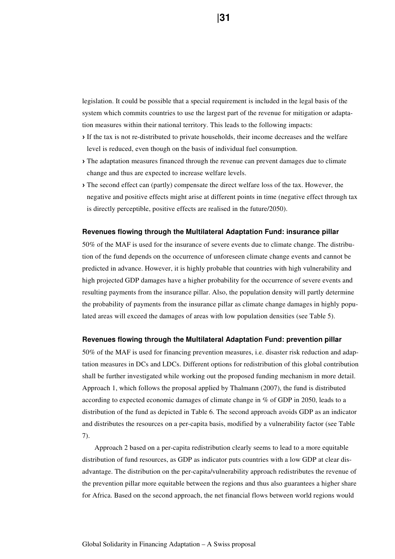legislation. It could be possible that a special requirement is included in the legal basis of the system which commits countries to use the largest part of the revenue for mitigation or adaptation measures within their national territory. This leads to the following impacts:

- › If the tax is not re-distributed to private households, their income decreases and the welfare level is reduced, even though on the basis of individual fuel consumption.
- › The adaptation measures financed through the revenue can prevent damages due to climate change and thus are expected to increase welfare levels.
- › The second effect can (partly) compensate the direct welfare loss of the tax. However, the negative and positive effects might arise at different points in time (negative effect through tax is directly perceptible, positive effects are realised in the future/2050).

#### **Revenues flowing through the Multilateral Adaptation Fund: insurance pillar**

50% of the MAF is used for the insurance of severe events due to climate change. The distribution of the fund depends on the occurrence of unforeseen climate change events and cannot be predicted in advance. However, it is highly probable that countries with high vulnerability and high projected GDP damages have a higher probability for the occurrence of severe events and resulting payments from the insurance pillar. Also, the population density will partly determine the probability of payments from the insurance pillar as climate change damages in highly populated areas will exceed the damages of areas with low population densities (see Table 5).

#### **Revenues flowing through the Multilateral Adaptation Fund: prevention pillar**

50% of the MAF is used for financing prevention measures, i.e. disaster risk reduction and adaptation measures in DCs and LDCs. Different options for redistribution of this global contribution shall be further investigated while working out the proposed funding mechanism in more detail. Approach 1, which follows the proposal applied by Thalmann (2007), the fund is distributed according to expected economic damages of climate change in % of GDP in 2050, leads to a distribution of the fund as depicted in Table 6. The second approach avoids GDP as an indicator and distributes the resources on a per-capita basis, modified by a vulnerability factor (see Table 7).

Approach 2 based on a per-capita redistribution clearly seems to lead to a more equitable distribution of fund resources, as GDP as indicator puts countries with a low GDP at clear disadvantage. The distribution on the per-capita/vulnerability approach redistributes the revenue of the prevention pillar more equitable between the regions and thus also guarantees a higher share for Africa. Based on the second approach, the net financial flows between world regions would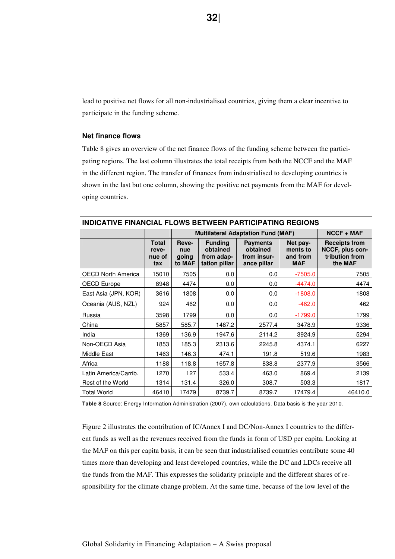lead to positive net flows for all non-industrialised countries, giving them a clear incentive to participate in the funding scheme.

#### **Net finance flows**

Table 8 gives an overview of the net finance flows of the funding scheme between the participating regions. The last column illustrates the total receipts from both the NCCF and the MAF in the different region. The transfer of finances from industrialised to developing countries is shown in the last but one column, showing the positive net payments from the MAF for developing countries.

| <b>INDICATIVE FINANCIAL FLOWS BETWEEN PARTICIPATING REGIONS</b> |                                        |                                 |                                                           |                                                           |                                                |                                                                      |  |  |  |
|-----------------------------------------------------------------|----------------------------------------|---------------------------------|-----------------------------------------------------------|-----------------------------------------------------------|------------------------------------------------|----------------------------------------------------------------------|--|--|--|
|                                                                 |                                        |                                 |                                                           | <b>Multilateral Adaptation Fund (MAF)</b>                 |                                                | $NCCF + MAF$                                                         |  |  |  |
|                                                                 | <b>Total</b><br>reve-<br>nue of<br>tax | Reve-<br>nue<br>going<br>to MAF | <b>Funding</b><br>obtained<br>from adap-<br>tation pillar | <b>Payments</b><br>obtained<br>from insur-<br>ance pillar | Net pay-<br>ments to<br>and from<br><b>MAF</b> | <b>Receipts from</b><br>NCCF, plus con-<br>tribution from<br>the MAF |  |  |  |
| <b>OECD North America</b>                                       | 15010                                  | 7505                            | 0.0                                                       | 0.0                                                       | $-7505.0$                                      | 7505                                                                 |  |  |  |
| <b>OECD Europe</b>                                              | 8948                                   | 4474                            | 0.0                                                       | 0.0                                                       | $-4474.0$                                      | 4474                                                                 |  |  |  |
| East Asia (JPN, KOR)                                            | 3616                                   | 1808                            | 0.0                                                       | 0.0                                                       | $-1808.0$                                      | 1808                                                                 |  |  |  |
| Oceania (AUS, NZL)                                              | 924                                    | 462                             | 0.0                                                       | 0.0                                                       | $-462.0$                                       | 462                                                                  |  |  |  |
| Russia                                                          | 3598                                   | 1799                            | 0.0                                                       | 0.0                                                       | $-1799.0$                                      | 1799                                                                 |  |  |  |
| China                                                           | 5857                                   | 585.7                           | 1487.2                                                    | 2577.4                                                    | 3478.9                                         | 9336                                                                 |  |  |  |
| India                                                           | 1369                                   | 136.9                           | 1947.6                                                    | 2114.2                                                    | 3924.9                                         | 5294                                                                 |  |  |  |
| Non-OECD Asia                                                   | 1853                                   | 185.3                           | 2313.6                                                    | 2245.8                                                    | 4374.1                                         | 6227                                                                 |  |  |  |
| Middle East                                                     | 1463                                   | 146.3                           | 474.1                                                     | 191.8                                                     | 519.6                                          | 1983                                                                 |  |  |  |
| Africa                                                          | 1188                                   | 118.8                           | 1657.8                                                    | 838.8                                                     | 2377.9                                         | 3566                                                                 |  |  |  |
| Latin America/Carrib.                                           | 1270                                   | 127                             | 533.4                                                     | 463.0                                                     | 869.4                                          | 2139                                                                 |  |  |  |
| Rest of the World                                               | 1314                                   | 131.4                           | 326.0                                                     | 308.7                                                     | 503.3                                          | 1817                                                                 |  |  |  |
| <b>Total World</b>                                              | 46410                                  | 17479                           | 8739.7                                                    | 8739.7                                                    | 17479.4                                        | 46410.0                                                              |  |  |  |

**Table 8** Source: Energy Information Administration (2007), own calculations. Data basis is the year 2010.

Figure 2 illustrates the contribution of IC/Annex I and DC/Non-Annex I countries to the different funds as well as the revenues received from the funds in form of USD per capita. Looking at the MAF on this per capita basis, it can be seen that industrialised countries contribute some 40 times more than developing and least developed countries, while the DC and LDCs receive all the funds from the MAF. This expresses the solidarity principle and the different shares of responsibility for the climate change problem. At the same time, because of the low level of the

**32**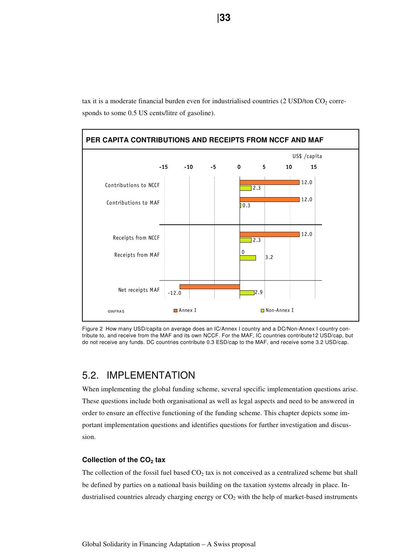tax it is a moderate financial burden even for industrialised countries (2 USD/ton  $CO<sub>2</sub>$  corresponds to some 0.5 US cents/litre of gasoline).



Figure 2 How many USD/capita on average does an IC/Annex I country and a DC/Non-Annex I country contribute to, and receive from the MAF and its own NCCF. For the MAF, IC countries contribute12 USD/cap, but do not receive any funds. DC countries contribute 0.3 ESD/cap to the MAF, and receive some 3.2 USD/cap.

# 5.2. IMPLEMENTATION

When implementing the global funding scheme, several specific implementation questions arise. These questions include both organisational as well as legal aspects and need to be answered in order to ensure an effective functioning of the funding scheme. This chapter depicts some important implementation questions and identifies questions for further investigation and discussion.

## **Collection of the CO2 tax**

The collection of the fossil fuel based  $CO<sub>2</sub>$  tax is not conceived as a centralized scheme but shall be defined by parties on a national basis building on the taxation systems already in place. Industrialised countries already charging energy or  $CO<sub>2</sub>$  with the help of market-based instruments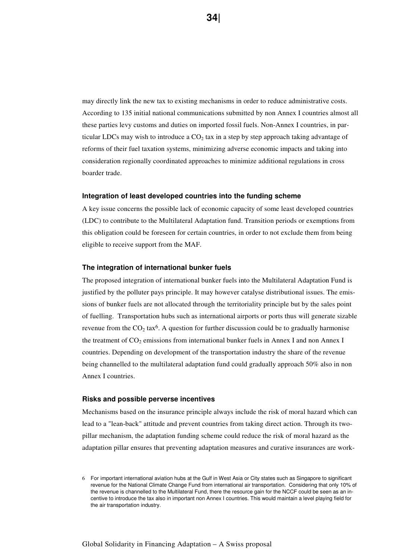may directly link the new tax to existing mechanisms in order to reduce administrative costs. According to 135 initial national communications submitted by non Annex I countries almost all these parties levy customs and duties on imported fossil fuels. Non-Annex I countries, in particular LDCs may wish to introduce a  $CO<sub>2</sub>$  tax in a step by step approach taking advantage of reforms of their fuel taxation systems, minimizing adverse economic impacts and taking into consideration regionally coordinated approaches to minimize additional regulations in cross boarder trade.

#### **Integration of least developed countries into the funding scheme**

A key issue concerns the possible lack of economic capacity of some least developed countries (LDC) to contribute to the Multilateral Adaptation fund. Transition periods or exemptions from this obligation could be foreseen for certain countries, in order to not exclude them from being eligible to receive support from the MAF.

#### **The integration of international bunker fuels**

The proposed integration of international bunker fuels into the Multilateral Adaptation Fund is justified by the polluter pays principle. It may however catalyse distributional issues. The emissions of bunker fuels are not allocated through the territoriality principle but by the sales point of fuelling. Transportation hubs such as international airports or ports thus will generate sizable revenue from the  $CO_2$  tax<sup>6</sup>. A question for further discussion could be to gradually harmonise the treatment of  $CO_2$  emissions from international bunker fuels in Annex I and non Annex I countries. Depending on development of the transportation industry the share of the revenue being channelled to the multilateral adaptation fund could gradually approach 50% also in non Annex I countries.

#### **Risks and possible perverse incentives**

Mechanisms based on the insurance principle always include the risk of moral hazard which can lead to a "lean-back" attitude and prevent countries from taking direct action. Through its twopillar mechanism, the adaptation funding scheme could reduce the risk of moral hazard as the adaptation pillar ensures that preventing adaptation measures and curative insurances are work-

<sup>6</sup> For important international aviation hubs at the Gulf in West Asia or City states such as Singapore to significant revenue for the National Climate Change Fund from international air transportation. Considering that only 10% of the revenue is channelled to the Multilateral Fund, there the resource gain for the NCCF could be seen as an incentive to introduce the tax also in important non Annex I countries. This would maintain a level playing field for the air transportation industry.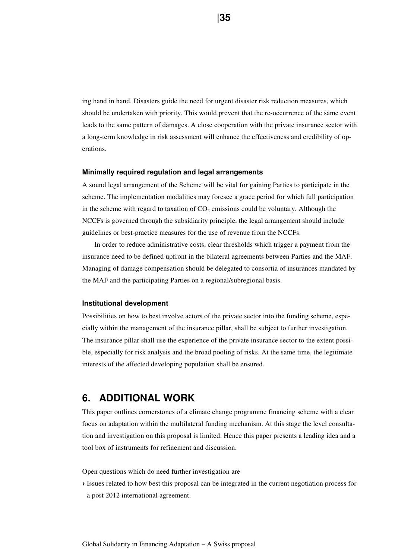ing hand in hand. Disasters guide the need for urgent disaster risk reduction measures, which should be undertaken with priority. This would prevent that the re-occurrence of the same event leads to the same pattern of damages. A close cooperation with the private insurance sector with a long-term knowledge in risk assessment will enhance the effectiveness and credibility of operations.

#### **Minimally required regulation and legal arrangements**

A sound legal arrangement of the Scheme will be vital for gaining Parties to participate in the scheme. The implementation modalities may foresee a grace period for which full participation in the scheme with regard to taxation of  $CO<sub>2</sub>$  emissions could be voluntary. Although the NCCFs is governed through the subsidiarity principle, the legal arrangement should include guidelines or best-practice measures for the use of revenue from the NCCFs.

In order to reduce administrative costs, clear thresholds which trigger a payment from the insurance need to be defined upfront in the bilateral agreements between Parties and the MAF. Managing of damage compensation should be delegated to consortia of insurances mandated by the MAF and the participating Parties on a regional/subregional basis.

#### **Institutional development**

Possibilities on how to best involve actors of the private sector into the funding scheme, especially within the management of the insurance pillar, shall be subject to further investigation. The insurance pillar shall use the experience of the private insurance sector to the extent possible, especially for risk analysis and the broad pooling of risks. At the same time, the legitimate interests of the affected developing population shall be ensured.

# **6. ADDITIONAL WORK**

This paper outlines cornerstones of a climate change programme financing scheme with a clear focus on adaptation within the multilateral funding mechanism. At this stage the level consultation and investigation on this proposal is limited. Hence this paper presents a leading idea and a tool box of instruments for refinement and discussion.

Open questions which do need further investigation are

› Issues related to how best this proposal can be integrated in the current negotiation process for a post 2012 international agreement.

 **|35**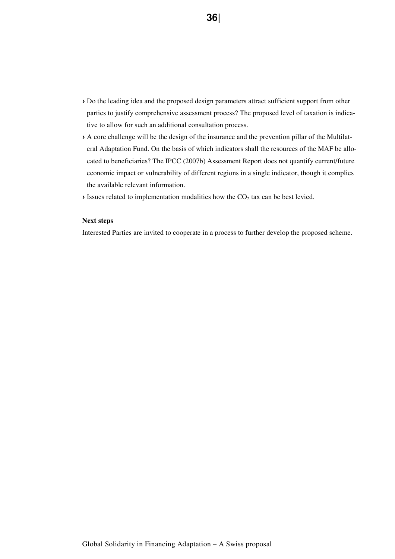- › Do the leading idea and the proposed design parameters attract sufficient support from other parties to justify comprehensive assessment process? The proposed level of taxation is indicative to allow for such an additional consultation process.
- › A core challenge will be the design of the insurance and the prevention pillar of the Multilateral Adaptation Fund. On the basis of which indicators shall the resources of the MAF be allocated to beneficiaries? The IPCC (2007b) Assessment Report does not quantify current/future economic impact or vulnerability of different regions in a single indicator, though it complies the available relevant information.
- $\lambda$  Issues related to implementation modalities how the CO<sub>2</sub> tax can be best levied.

#### **Next steps**

Interested Parties are invited to cooperate in a process to further develop the proposed scheme.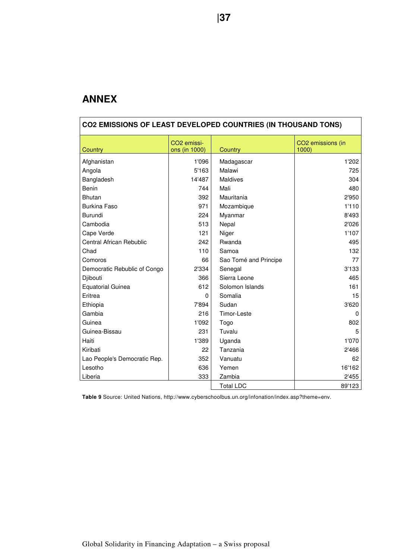# **ANNEX**

| <b>CO2 EMISSIONS OF LEAST DEVELOPED COUNTRIES (IN THOUSAND TONS)</b> |                                          |                       |                           |  |  |  |  |
|----------------------------------------------------------------------|------------------------------------------|-----------------------|---------------------------|--|--|--|--|
| Country                                                              | CO <sub>2</sub> emissi-<br>ons (in 1000) | Country               | CO2 emissions (in<br>1000 |  |  |  |  |
| Afghanistan                                                          | 1'096                                    | Madagascar            | 1'202                     |  |  |  |  |
| Angola                                                               | 5'163                                    | Malawi                | 725                       |  |  |  |  |
| Bangladesh                                                           | 14'487                                   | Maldives              | 304                       |  |  |  |  |
| Benin                                                                | 744                                      | Mali                  | 480                       |  |  |  |  |
| <b>Bhutan</b>                                                        | 392                                      | Mauritania            | 2'950                     |  |  |  |  |
| Burkina Faso                                                         | 971                                      | Mozambique            | 1'110                     |  |  |  |  |
| Burundi                                                              | 224                                      | Myanmar               | 8'493                     |  |  |  |  |
| Cambodia                                                             | 513                                      | Nepal                 | 2'026                     |  |  |  |  |
| Cape Verde                                                           | 121                                      | Niger                 | 1'107                     |  |  |  |  |
| <b>Central African Rebublic</b>                                      | 242                                      | Rwanda                | 495                       |  |  |  |  |
| Chad                                                                 | 110                                      | Samoa                 | 132                       |  |  |  |  |
| Comoros                                                              | 66                                       | Sao Tomé and Principe | 77                        |  |  |  |  |
| Democratic Rebublic of Congo                                         | 2'334                                    | Senegal               | 3'133                     |  |  |  |  |
| Djibouti                                                             | 366                                      | Sierra Leone          | 465                       |  |  |  |  |
| <b>Equatorial Guinea</b>                                             | 612                                      | Solomon Islands       | 161                       |  |  |  |  |
| Eritrea                                                              | 0                                        | Somalia               | 15                        |  |  |  |  |
| Ethiopia                                                             | 7'894                                    | Sudan                 | 3'620                     |  |  |  |  |
| Gambia                                                               | 216                                      | Timor-Leste           | 0                         |  |  |  |  |
| Guinea                                                               | 1'092                                    | Togo                  | 802                       |  |  |  |  |
| Guinea-Bissau                                                        | 231                                      | Tuvalu                | 5                         |  |  |  |  |
| Haiti                                                                | 1'389                                    | Uganda                | 1'070                     |  |  |  |  |
| Kiribati                                                             | 22                                       | Tanzania              | 2'466                     |  |  |  |  |
| Lao People's Democratic Rep.                                         | 352                                      | Vanuatu               | 62                        |  |  |  |  |
| Lesotho                                                              | 636                                      | Yemen                 | 16'162                    |  |  |  |  |
| Liberia                                                              | 333                                      | Zambia                | 2'455                     |  |  |  |  |
|                                                                      |                                          | <b>Total LDC</b>      | 89'123                    |  |  |  |  |

**Table 9** Source: United Nations, http://www.cyberschoolbus.un.org/infonation/index.asp?theme=env.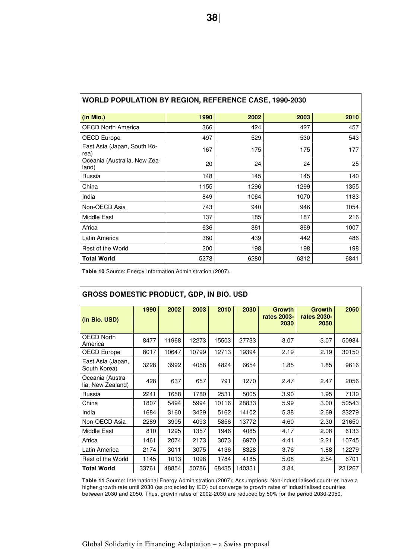| <b>WORLD POPULATION BY REGION, REFERENCE CASE, 1990-2030</b> |      |      |      |      |  |  |  |  |
|--------------------------------------------------------------|------|------|------|------|--|--|--|--|
| (in Mio.)                                                    | 1990 | 2002 | 2003 | 2010 |  |  |  |  |
| <b>OECD North America</b>                                    | 366  | 424  | 427  | 457  |  |  |  |  |
| OECD Europe                                                  | 497  | 529  | 530  | 543  |  |  |  |  |
| East Asia (Japan, South Ko-<br>rea)                          | 167  | 175  | 175  | 177  |  |  |  |  |
| Oceania (Australia, New Zea-<br>land)                        | 20   | 24   | 24   | 25   |  |  |  |  |
| Russia                                                       | 148  | 145  | 145  | 140  |  |  |  |  |
| China                                                        | 1155 | 1296 | 1299 | 1355 |  |  |  |  |
| India                                                        | 849  | 1064 | 1070 | 1183 |  |  |  |  |
| Non-OECD Asia                                                | 743  | 940  | 946  | 1054 |  |  |  |  |
| Middle East                                                  | 137  | 185  | 187  | 216  |  |  |  |  |
| Africa                                                       | 636  | 861  | 869  | 1007 |  |  |  |  |
| Latin America                                                | 360  | 439  | 442  | 486  |  |  |  |  |
| Rest of the World                                            | 200  | 198  | 198  | 198  |  |  |  |  |
| <b>Total World</b>                                           | 5278 | 6280 | 6312 | 6841 |  |  |  |  |

**Table 10** Source: Energy Information Administration (2007).

| <b>GROSS DOMESTIC PRODUCT, GDP, IN BIO. USD</b> |       |       |       |       |        |                                      |                                      |        |  |  |
|-------------------------------------------------|-------|-------|-------|-------|--------|--------------------------------------|--------------------------------------|--------|--|--|
| (in Bio. USD)                                   | 1990  | 2002  | 2003  | 2010  | 2030   | <b>Growth</b><br>rates 2003-<br>2030 | <b>Growth</b><br>rates 2030-<br>2050 | 2050   |  |  |
| <b>OECD North</b><br>America                    | 8477  | 11968 | 12273 | 15503 | 27733  | 3.07                                 | 3.07                                 | 50984  |  |  |
| OECD Europe                                     | 8017  | 10647 | 10799 | 12713 | 19394  | 2.19                                 | 2.19                                 | 30150  |  |  |
| East Asia (Japan,<br>South Korea)               | 3228  | 3992  | 4058  | 4824  | 6654   | 1.85                                 | 1.85                                 | 9616   |  |  |
| Oceania (Austra-<br>lia, New Zealand)           | 428   | 637   | 657   | 791   | 1270   | 2.47                                 | 2.47                                 | 2056   |  |  |
| Russia                                          | 2241  | 1658  | 1780  | 2531  | 5005   | 3.90                                 | 1.95                                 | 7130   |  |  |
| China                                           | 1807  | 5494  | 5994  | 10116 | 28833  | 5.99                                 | 3.00                                 | 50543  |  |  |
| India                                           | 1684  | 3160  | 3429  | 5162  | 14102  | 5.38                                 | 2.69                                 | 23279  |  |  |
| Non-OECD Asia                                   | 2289  | 3905  | 4093  | 5856  | 13772  | 4.60                                 | 2.30                                 | 21650  |  |  |
| Middle East                                     | 810   | 1295  | 1357  | 1946  | 4085   | 4.17                                 | 2.08                                 | 6133   |  |  |
| Africa                                          | 1461  | 2074  | 2173  | 3073  | 6970   | 4.41                                 | 2.21                                 | 10745  |  |  |
| Latin America                                   | 2174  | 3011  | 3075  | 4136  | 8328   | 3.76                                 | 1.88                                 | 12279  |  |  |
| Rest of the World                               | 1145  | 1013  | 1098  | 1784  | 4185   | 5.08                                 | 2.54                                 | 6701   |  |  |
| <b>Total World</b>                              | 33761 | 48854 | 50786 | 68435 | 140331 | 3.84                                 |                                      | 231267 |  |  |

**Table 11** Source: International Energy Administration (2007); Assumptions: Non-industrialised countries have a higher growth rate until 2030 (as projected by IEO) but converge to growth rates of industrialised countries between 2030 and 2050. Thus, growth rates of 2002-2030 are reduced by 50% for the period 2030-2050.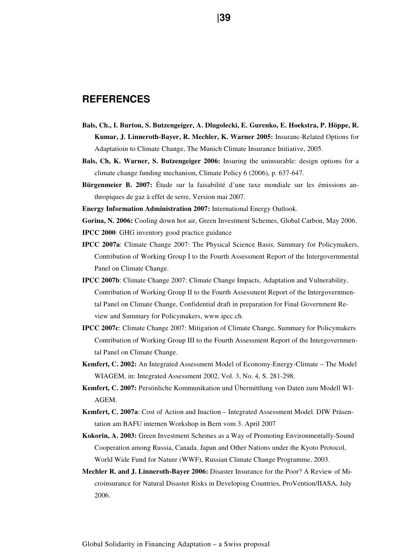# **REFERENCES**

- **Bals, Ch., I. Burton, S. Butzengeiger, A. Dlugolecki, E. Gurenko, E. Hoekstra, P. Höppe, R. Kumar, J. Linneroth-Bayer, R. Mechler, K. Warner 2005:** Insuranc-Related Options for Adaptatioin to Climate Change, The Munich Climate Insurance Initiative, 2005.
- **Bals, Ch, K. Warner, S. Butzengeiger 2006:** Insuring the uninsurable: design options for a climate change funding mechanism, Climate Policy 6 (2006), p. 637-647.
- **Bürgenmeier B. 2007:** Étude sur la faisabilité d'une taxe mondiale sur les émissions anthropiques de gaz à effet de serre, Version mai 2007.
- **Energy Information Administration 2007:** International Energy Outlook.

**Gorina, N. 2006:** Cooling down hot air, Green Investment Schemes, Global Carbon, May 2006.

**IPCC 2000**: GHG inventory good practice guidance

- **IPCC 2007a**: Climate Change 2007: The Physical Science Basis, Summary for Policymakers, Contribution of Working Group I to the Fourth Assessment Report of the Intergovernmental Panel on Climate Change.
- **IPCC 2007b**: Climate Change 2007: Climate Change Impacts, Adaptation and Vulnerability, Contribution of Working Group II to the Fourth Assessment Report of the Intergovernmental Panel on Climate Change, Confidential draft in preparation for Final Government Review and Summary for Policymakers, www.ipcc.ch.
- **IPCC 2007c**: Climate Change 2007: Mitigation of Climate Change, Summary for Policymakers Contribution of Working Group III to the Fourth Assessment Report of the Intergovernmental Panel on Climate Change.
- **Kemfert, C. 2002:** An Integrated Assessment Model of Economy-Energy-Climate The Model WIAGEM, in: Integrated Assessment 2002, Vol. 3, No. 4, S. 281-298.
- **Kemfert, C. 2007:** Persönliche Kommunikation und Übermittlung von Daten zum Modell WI-AGEM.
- **Kemfert, C. 2007a**: Cost of Action and Inaction Integrated Assessment Model. DIW Präsentation am BAFU internen Workshop in Bern vom 3. April 2007
- **Kokorin, A. 2003:** Green Investment Schemes as a Way of Promoting Environmentally-Sound Cooperation among Russia, Canada, Japan and Other Nations under the Kyoto Protocol, World Wide Fund for Nature (WWF), Russian Climate Change Programme, 2003.
- **Mechler R. and J. Linneroth-Bayer 2006:** Disaster Insurance for the Poor? A Review of Microinsurance for Natural Disaster Risks in Developing Countries, ProVention/IIASA, July 2006.

**139 139**